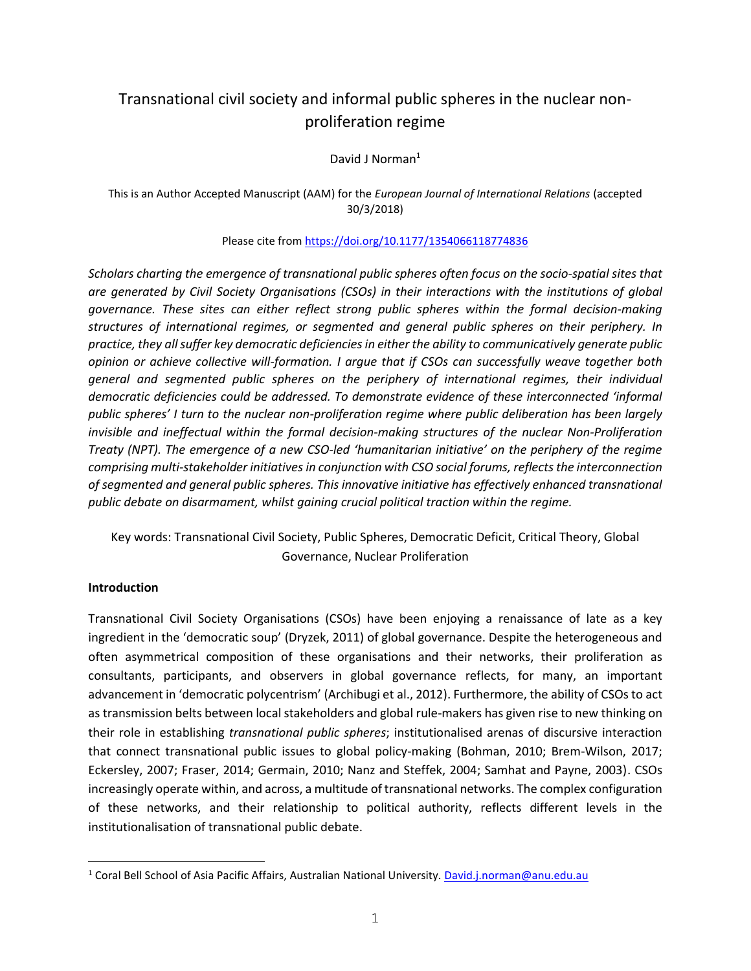# Transnational civil society and informal public spheres in the nuclear nonproliferation regime

David J Norman<sup>1</sup>

#### This is an Author Accepted Manuscript (AAM) for the *European Journal of International Relations* (accepted 30/3/2018)

#### Please cite fro[m https://doi.org/10.1177/1354066118774836](https://doi.org/10.1177/1354066118774836)

*Scholars charting the emergence of transnational public spheres often focus on the socio-spatial sites that are generated by Civil Society Organisations (CSOs) in their interactions with the institutions of global governance. These sites can either reflect strong public spheres within the formal decision-making structures of international regimes, or segmented and general public spheres on their periphery. In practice, they all suffer key democratic deficiencies in either the ability to communicatively generate public opinion or achieve collective will-formation. I argue that if CSOs can successfully weave together both general and segmented public spheres on the periphery of international regimes, their individual democratic deficiencies could be addressed. To demonstrate evidence of these interconnected 'informal public spheres' I turn to the nuclear non-proliferation regime where public deliberation has been largely invisible and ineffectual within the formal decision-making structures of the nuclear Non-Proliferation Treaty (NPT). The emergence of a new CSO-led 'humanitarian initiative' on the periphery of the regime comprising multi-stakeholder initiatives in conjunction with CSO social forums, reflects the interconnection of segmented and general public spheres. This innovative initiative has effectively enhanced transnational public debate on disarmament, whilst gaining crucial political traction within the regime.* 

## Key words: Transnational Civil Society, Public Spheres, Democratic Deficit, Critical Theory, Global Governance, Nuclear Proliferation

#### **Introduction**

j.

Transnational Civil Society Organisations (CSOs) have been enjoying a renaissance of late as a key ingredient in the 'democratic soup' (Dryzek, 2011) of global governance. Despite the heterogeneous and often asymmetrical composition of these organisations and their networks, their proliferation as consultants, participants, and observers in global governance reflects, for many, an important advancement in 'democratic polycentrism' (Archibugi et al., 2012). Furthermore, the ability of CSOs to act as transmission belts between local stakeholders and global rule-makers has given rise to new thinking on their role in establishing *transnational public spheres*; institutionalised arenas of discursive interaction that connect transnational public issues to global policy-making (Bohman, 2010; Brem-Wilson, 2017; Eckersley, 2007; Fraser, 2014; Germain, 2010; Nanz and Steffek, 2004; Samhat and Payne, 2003). CSOs increasingly operate within, and across, a multitude of transnational networks. The complex configuration of these networks, and their relationship to political authority, reflects different levels in the institutionalisation of transnational public debate.

<sup>&</sup>lt;sup>1</sup> Coral Bell School of Asia Pacific Affairs, Australian National University. David.j.norman@anu.edu.au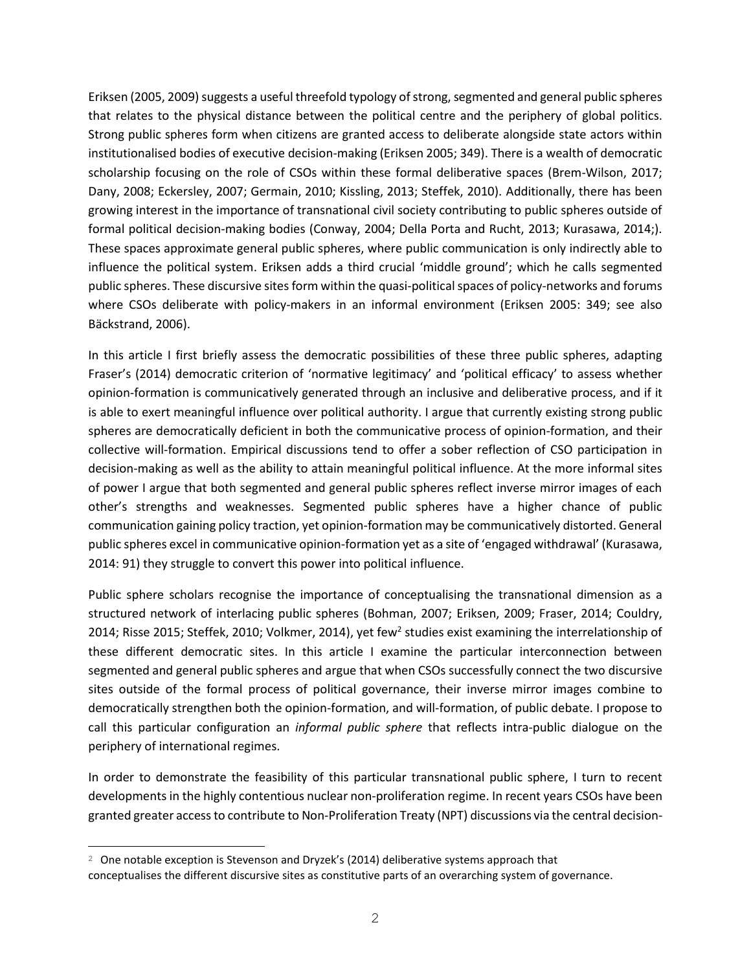Eriksen (2005, 2009) suggests a useful threefold typology of strong, segmented and general public spheres that relates to the physical distance between the political centre and the periphery of global politics. Strong public spheres form when citizens are granted access to deliberate alongside state actors within institutionalised bodies of executive decision-making (Eriksen 2005; 349). There is a wealth of democratic scholarship focusing on the role of CSOs within these formal deliberative spaces (Brem-Wilson, 2017; Dany, 2008; Eckersley, 2007; Germain, 2010; Kissling, 2013; Steffek, 2010). Additionally, there has been growing interest in the importance of transnational civil society contributing to public spheres outside of formal political decision-making bodies (Conway, 2004; Della Porta and Rucht, 2013; Kurasawa, 2014;). These spaces approximate general public spheres, where public communication is only indirectly able to influence the political system. Eriksen adds a third crucial 'middle ground'; which he calls segmented public spheres. These discursive sites form within the quasi-political spaces of policy-networks and forums where CSOs deliberate with policy-makers in an informal environment (Eriksen 2005: 349; see also Bäckstrand, 2006).

In this article I first briefly assess the democratic possibilities of these three public spheres, adapting Fraser's (2014) democratic criterion of 'normative legitimacy' and 'political efficacy' to assess whether opinion-formation is communicatively generated through an inclusive and deliberative process, and if it is able to exert meaningful influence over political authority. I argue that currently existing strong public spheres are democratically deficient in both the communicative process of opinion-formation, and their collective will-formation. Empirical discussions tend to offer a sober reflection of CSO participation in decision-making as well as the ability to attain meaningful political influence. At the more informal sites of power I argue that both segmented and general public spheres reflect inverse mirror images of each other's strengths and weaknesses. Segmented public spheres have a higher chance of public communication gaining policy traction, yet opinion-formation may be communicatively distorted. General public spheres excel in communicative opinion-formation yet as a site of 'engaged withdrawal' (Kurasawa, 2014: 91) they struggle to convert this power into political influence.

Public sphere scholars recognise the importance of conceptualising the transnational dimension as a structured network of interlacing public spheres (Bohman, 2007; Eriksen, 2009; Fraser, 2014; Couldry, 2014; Risse 2015; Steffek, 2010; Volkmer, 2014), yet few<sup>2</sup> studies exist examining the interrelationship of these different democratic sites. In this article I examine the particular interconnection between segmented and general public spheres and argue that when CSOs successfully connect the two discursive sites outside of the formal process of political governance, their inverse mirror images combine to democratically strengthen both the opinion-formation, and will-formation, of public debate. I propose to call this particular configuration an *informal public sphere* that reflects intra-public dialogue on the periphery of international regimes.

In order to demonstrate the feasibility of this particular transnational public sphere, I turn to recent developments in the highly contentious nuclear non-proliferation regime. In recent years CSOs have been granted greater access to contribute to Non-Proliferation Treaty (NPT) discussions via the central decision-

÷,

 $2\degree$  One notable exception is Stevenson and Dryzek's (2014) deliberative systems approach that conceptualises the different discursive sites as constitutive parts of an overarching system of governance.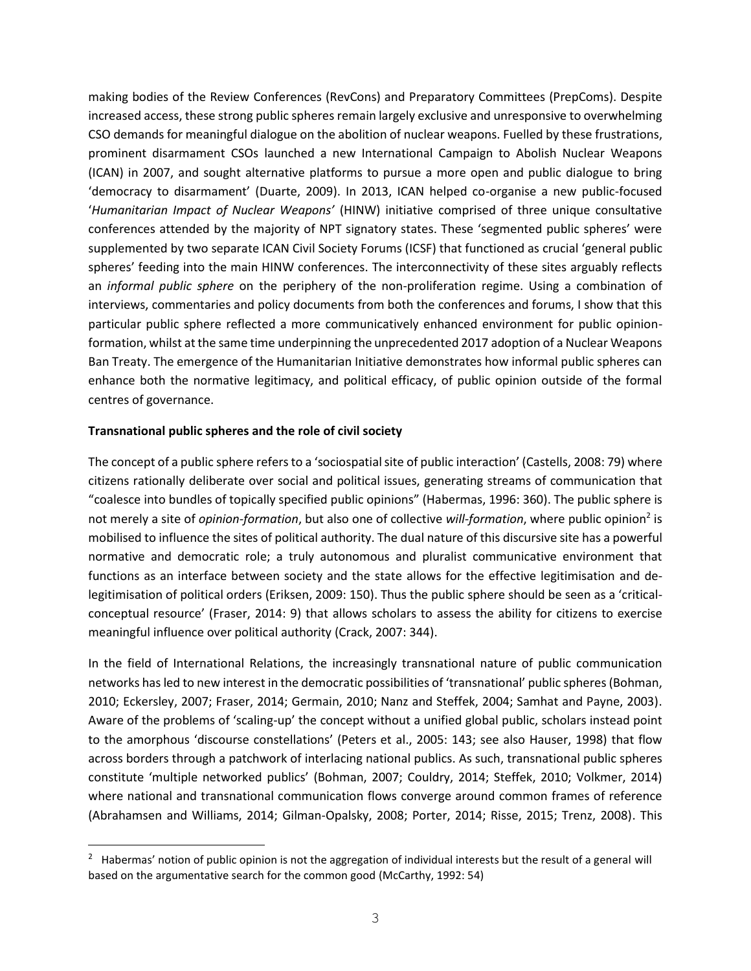making bodies of the Review Conferences (RevCons) and Preparatory Committees (PrepComs). Despite increased access, these strong public spheres remain largely exclusive and unresponsive to overwhelming CSO demands for meaningful dialogue on the abolition of nuclear weapons. Fuelled by these frustrations, prominent disarmament CSOs launched a new International Campaign to Abolish Nuclear Weapons (ICAN) in 2007, and sought alternative platforms to pursue a more open and public dialogue to bring 'democracy to disarmament' (Duarte, 2009). In 2013, ICAN helped co-organise a new public-focused '*Humanitarian Impact of Nuclear Weapons'* (HINW) initiative comprised of three unique consultative conferences attended by the majority of NPT signatory states. These 'segmented public spheres' were supplemented by two separate ICAN Civil Society Forums (ICSF) that functioned as crucial 'general public spheres' feeding into the main HINW conferences. The interconnectivity of these sites arguably reflects an *informal public sphere* on the periphery of the non-proliferation regime. Using a combination of interviews, commentaries and policy documents from both the conferences and forums, I show that this particular public sphere reflected a more communicatively enhanced environment for public opinionformation, whilst at the same time underpinning the unprecedented 2017 adoption of a Nuclear Weapons Ban Treaty. The emergence of the Humanitarian Initiative demonstrates how informal public spheres can enhance both the normative legitimacy, and political efficacy, of public opinion outside of the formal centres of governance.

#### **Transnational public spheres and the role of civil society**

J.

The concept of a public sphere refers to a 'sociospatial site of public interaction' (Castells, 2008: 79) where citizens rationally deliberate over social and political issues, generating streams of communication that "coalesce into bundles of topically specified public opinions" (Habermas, 1996: 360). The public sphere is not merely a site of *opinion-formation*, but also one of collective *will-formation*, where public opinion<sup>2</sup> is mobilised to influence the sites of political authority. The dual nature of this discursive site has a powerful normative and democratic role; a truly autonomous and pluralist communicative environment that functions as an interface between society and the state allows for the effective legitimisation and delegitimisation of political orders (Eriksen, 2009: 150). Thus the public sphere should be seen as a 'criticalconceptual resource' (Fraser, 2014: 9) that allows scholars to assess the ability for citizens to exercise meaningful influence over political authority (Crack, 2007: 344).

In the field of International Relations, the increasingly transnational nature of public communication networks has led to new interest in the democratic possibilities of 'transnational' public spheres(Bohman, 2010; Eckersley, 2007; Fraser, 2014; Germain, 2010; Nanz and Steffek, 2004; Samhat and Payne, 2003). Aware of the problems of 'scaling-up' the concept without a unified global public, scholars instead point to the amorphous 'discourse constellations' (Peters et al., 2005: 143; see also Hauser, 1998) that flow across borders through a patchwork of interlacing national publics. As such, transnational public spheres constitute 'multiple networked publics' (Bohman, 2007; Couldry, 2014; Steffek, 2010; Volkmer, 2014) where national and transnational communication flows converge around common frames of reference (Abrahamsen and Williams, 2014; Gilman-Opalsky, 2008; Porter, 2014; Risse, 2015; Trenz, 2008). This

<sup>&</sup>lt;sup>2</sup> Habermas' notion of public opinion is not the aggregation of individual interests but the result of a general will based on the argumentative search for the common good (McCarthy, 1992: 54)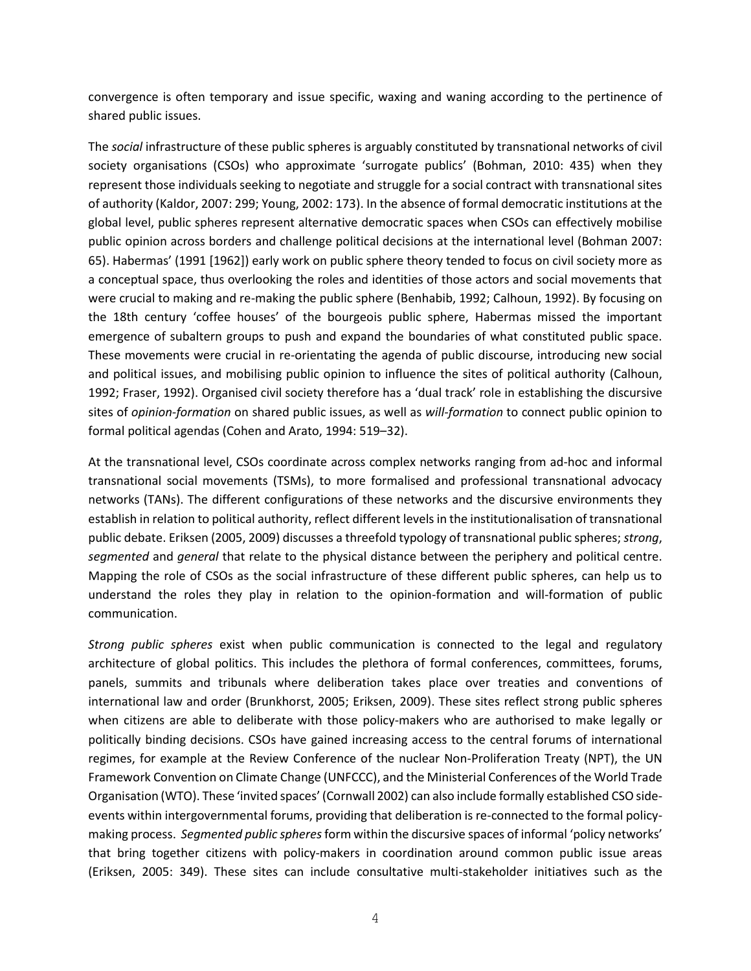convergence is often temporary and issue specific, waxing and waning according to the pertinence of shared public issues.

The *social* infrastructure of these public spheres is arguably constituted by transnational networks of civil society organisations (CSOs) who approximate 'surrogate publics' (Bohman, 2010: 435) when they represent those individuals seeking to negotiate and struggle for a social contract with transnational sites of authority (Kaldor, 2007: 299; Young, 2002: 173). In the absence of formal democratic institutions at the global level, public spheres represent alternative democratic spaces when CSOs can effectively mobilise public opinion across borders and challenge political decisions at the international level (Bohman 2007: 65). Habermas' (1991 [1962]) early work on public sphere theory tended to focus on civil society more as a conceptual space, thus overlooking the roles and identities of those actors and social movements that were crucial to making and re-making the public sphere (Benhabib, 1992; Calhoun, 1992). By focusing on the 18th century 'coffee houses' of the bourgeois public sphere, Habermas missed the important emergence of subaltern groups to push and expand the boundaries of what constituted public space. These movements were crucial in re-orientating the agenda of public discourse, introducing new social and political issues, and mobilising public opinion to influence the sites of political authority (Calhoun, 1992; Fraser, 1992). Organised civil society therefore has a 'dual track' role in establishing the discursive sites of *opinion-formation* on shared public issues, as well as *will-formation* to connect public opinion to formal political agendas (Cohen and Arato, 1994: 519–32).

At the transnational level, CSOs coordinate across complex networks ranging from ad-hoc and informal transnational social movements (TSMs), to more formalised and professional transnational advocacy networks (TANs). The different configurations of these networks and the discursive environments they establish in relation to political authority, reflect different levels in the institutionalisation of transnational public debate. Eriksen (2005, 2009) discusses a threefold typology of transnational public spheres; *strong*, *segmented* and *general* that relate to the physical distance between the periphery and political centre. Mapping the role of CSOs as the social infrastructure of these different public spheres, can help us to understand the roles they play in relation to the opinion-formation and will-formation of public communication.

*Strong public spheres* exist when public communication is connected to the legal and regulatory architecture of global politics. This includes the plethora of formal conferences, committees, forums, panels, summits and tribunals where deliberation takes place over treaties and conventions of international law and order (Brunkhorst, 2005; Eriksen, 2009). These sites reflect strong public spheres when citizens are able to deliberate with those policy-makers who are authorised to make legally or politically binding decisions. CSOs have gained increasing access to the central forums of international regimes, for example at the Review Conference of the nuclear Non-Proliferation Treaty (NPT), the UN Framework Convention on Climate Change (UNFCCC), and the Ministerial Conferences of the World Trade Organisation (WTO). These 'invited spaces' (Cornwall 2002) can also include formally established CSO sideevents within intergovernmental forums, providing that deliberation is re-connected to the formal policymaking process. *Segmented public spheres*form within the discursive spaces of informal 'policy networks' that bring together citizens with policy-makers in coordination around common public issue areas (Eriksen, 2005: 349). These sites can include consultative multi-stakeholder initiatives such as the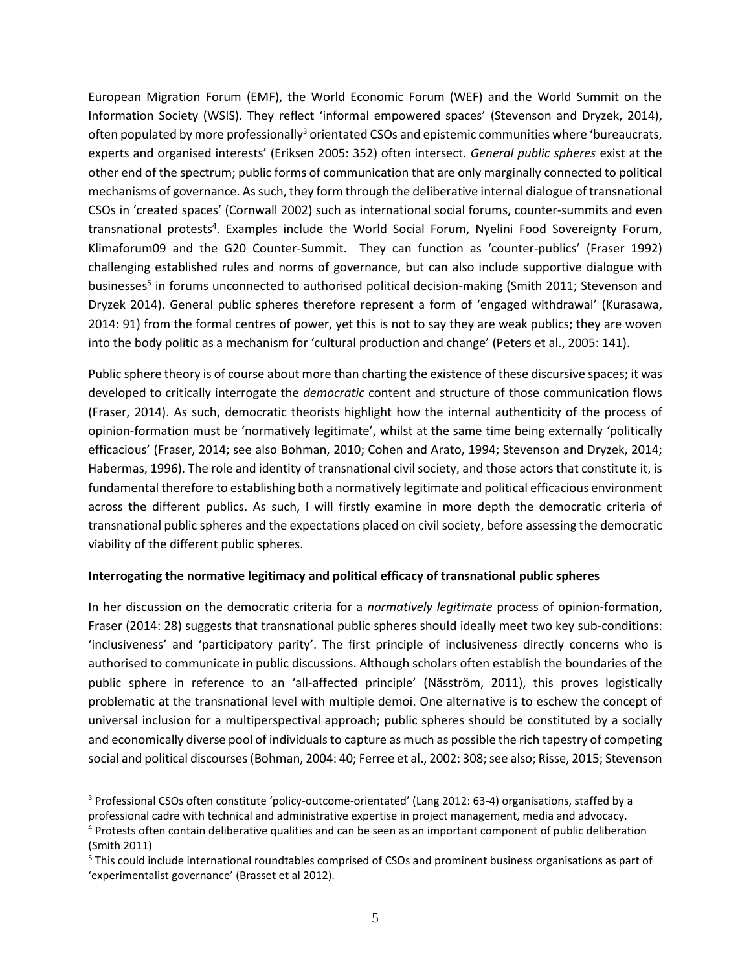European Migration Forum (EMF), the World Economic Forum (WEF) and the World Summit on the Information Society (WSIS). They reflect 'informal empowered spaces' (Stevenson and Dryzek, 2014), often populated by more professionally<sup>3</sup> orientated CSOs and epistemic communities where 'bureaucrats, experts and organised interests' (Eriksen 2005: 352) often intersect. *General public spheres* exist at the other end of the spectrum; public forms of communication that are only marginally connected to political mechanisms of governance. As such, they form through the deliberative internal dialogue of transnational CSOs in 'created spaces' (Cornwall 2002) such as international social forums, counter-summits and even transnational protests<sup>4</sup>. Examples include the World Social Forum, Nyelini Food Sovereignty Forum, Klimaforum09 and the G20 Counter-Summit. They can function as 'counter-publics' (Fraser 1992) challenging established rules and norms of governance, but can also include supportive dialogue with businesses<sup>5</sup> in forums unconnected to authorised political decision-making (Smith 2011; Stevenson and Dryzek 2014). General public spheres therefore represent a form of 'engaged withdrawal' (Kurasawa, 2014: 91) from the formal centres of power, yet this is not to say they are weak publics; they are woven into the body politic as a mechanism for 'cultural production and change' (Peters et al., 2005: 141).

Public sphere theory is of course about more than charting the existence of these discursive spaces; it was developed to critically interrogate the *democratic* content and structure of those communication flows (Fraser, 2014). As such, democratic theorists highlight how the internal authenticity of the process of opinion-formation must be 'normatively legitimate', whilst at the same time being externally 'politically efficacious' (Fraser, 2014; see also Bohman, 2010; Cohen and Arato, 1994; Stevenson and Dryzek, 2014; Habermas, 1996). The role and identity of transnational civil society, and those actors that constitute it, is fundamental therefore to establishing both a normatively legitimate and political efficacious environment across the different publics. As such, I will firstly examine in more depth the democratic criteria of transnational public spheres and the expectations placed on civil society, before assessing the democratic viability of the different public spheres.

#### **Interrogating the normative legitimacy and political efficacy of transnational public spheres**

In her discussion on the democratic criteria for a *normatively legitimate* process of opinion-formation, Fraser (2014: 28) suggests that transnational public spheres should ideally meet two key sub-conditions: 'inclusiveness' and 'participatory parity'. The first principle of inclusivenes*s* directly concerns who is authorised to communicate in public discussions. Although scholars often establish the boundaries of the public sphere in reference to an 'all-affected principle' (Näsström, 2011), this proves logistically problematic at the transnational level with multiple demoi. One alternative is to eschew the concept of universal inclusion for a multiperspectival approach; public spheres should be constituted by a socially and economically diverse pool of individuals to capture as much as possible the rich tapestry of competing social and political discourses(Bohman, 2004: 40; Ferree et al., 2002: 308; see also; Risse, 2015; Stevenson

J.

<sup>3</sup> Professional CSOs often constitute 'policy-outcome-orientated' (Lang 2012: 63-4) organisations, staffed by a professional cadre with technical and administrative expertise in project management, media and advocacy.

<sup>4</sup> Protests often contain deliberative qualities and can be seen as an important component of public deliberation (Smith 2011)

<sup>&</sup>lt;sup>5</sup> This could include international roundtables comprised of CSOs and prominent business organisations as part of 'experimentalist governance' (Brasset et al 2012).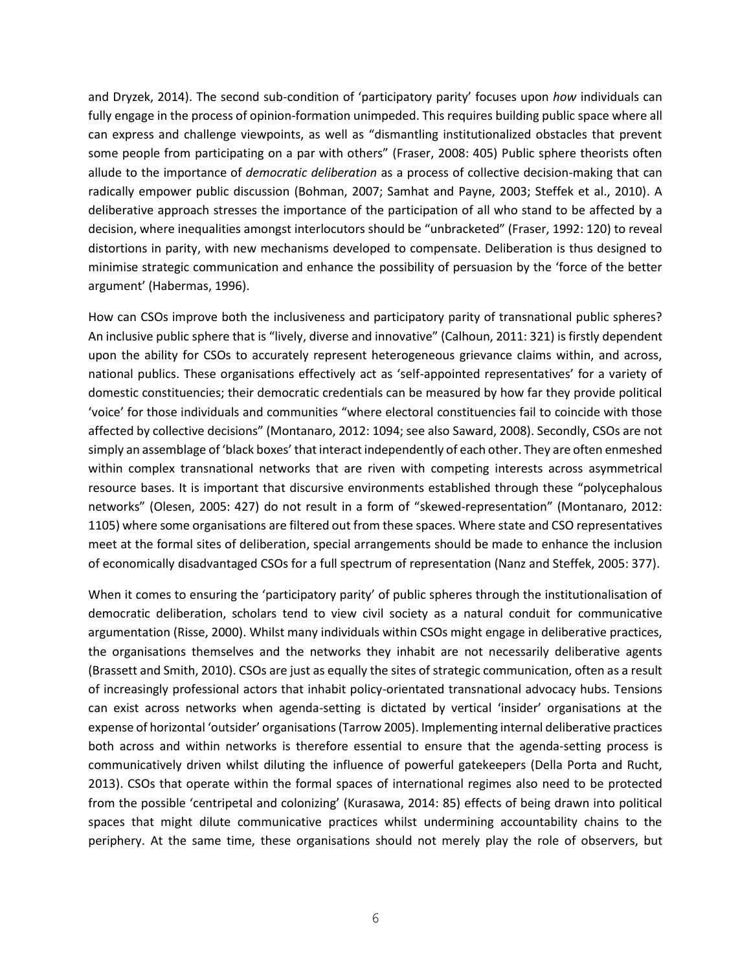and Dryzek, 2014). The second sub-condition of 'participatory parity' focuses upon *how* individuals can fully engage in the process of opinion-formation unimpeded. This requires building public space where all can express and challenge viewpoints, as well as "dismantling institutionalized obstacles that prevent some people from participating on a par with others" (Fraser, 2008: 405) Public sphere theorists often allude to the importance of *democratic deliberation* as a process of collective decision-making that can radically empower public discussion (Bohman, 2007; Samhat and Payne, 2003; Steffek et al., 2010). A deliberative approach stresses the importance of the participation of all who stand to be affected by a decision, where inequalities amongst interlocutors should be "unbracketed" (Fraser, 1992: 120) to reveal distortions in parity, with new mechanisms developed to compensate. Deliberation is thus designed to minimise strategic communication and enhance the possibility of persuasion by the 'force of the better argument' (Habermas, 1996).

How can CSOs improve both the inclusiveness and participatory parity of transnational public spheres? An inclusive public sphere that is "lively, diverse and innovative" (Calhoun, 2011: 321) is firstly dependent upon the ability for CSOs to accurately represent heterogeneous grievance claims within, and across, national publics. These organisations effectively act as 'self-appointed representatives' for a variety of domestic constituencies; their democratic credentials can be measured by how far they provide political 'voice' for those individuals and communities "where electoral constituencies fail to coincide with those affected by collective decisions" (Montanaro, 2012: 1094; see also Saward, 2008). Secondly, CSOs are not simply an assemblage of 'black boxes' that interact independently of each other. They are often enmeshed within complex transnational networks that are riven with competing interests across asymmetrical resource bases. It is important that discursive environments established through these "polycephalous networks" (Olesen, 2005: 427) do not result in a form of "skewed-representation" (Montanaro, 2012: 1105) where some organisations are filtered out from these spaces. Where state and CSO representatives meet at the formal sites of deliberation, special arrangements should be made to enhance the inclusion of economically disadvantaged CSOs for a full spectrum of representation (Nanz and Steffek, 2005: 377).

When it comes to ensuring the 'participatory parity' of public spheres through the institutionalisation of democratic deliberation, scholars tend to view civil society as a natural conduit for communicative argumentation (Risse, 2000). Whilst many individuals within CSOs might engage in deliberative practices, the organisations themselves and the networks they inhabit are not necessarily deliberative agents (Brassett and Smith, 2010). CSOs are just as equally the sites of strategic communication, often as a result of increasingly professional actors that inhabit policy-orientated transnational advocacy hubs. Tensions can exist across networks when agenda-setting is dictated by vertical 'insider' organisations at the expense of horizontal 'outsider' organisations(Tarrow 2005). Implementing internal deliberative practices both across and within networks is therefore essential to ensure that the agenda-setting process is communicatively driven whilst diluting the influence of powerful gatekeepers (Della Porta and Rucht, 2013). CSOs that operate within the formal spaces of international regimes also need to be protected from the possible 'centripetal and colonizing' (Kurasawa, 2014: 85) effects of being drawn into political spaces that might dilute communicative practices whilst undermining accountability chains to the periphery. At the same time, these organisations should not merely play the role of observers, but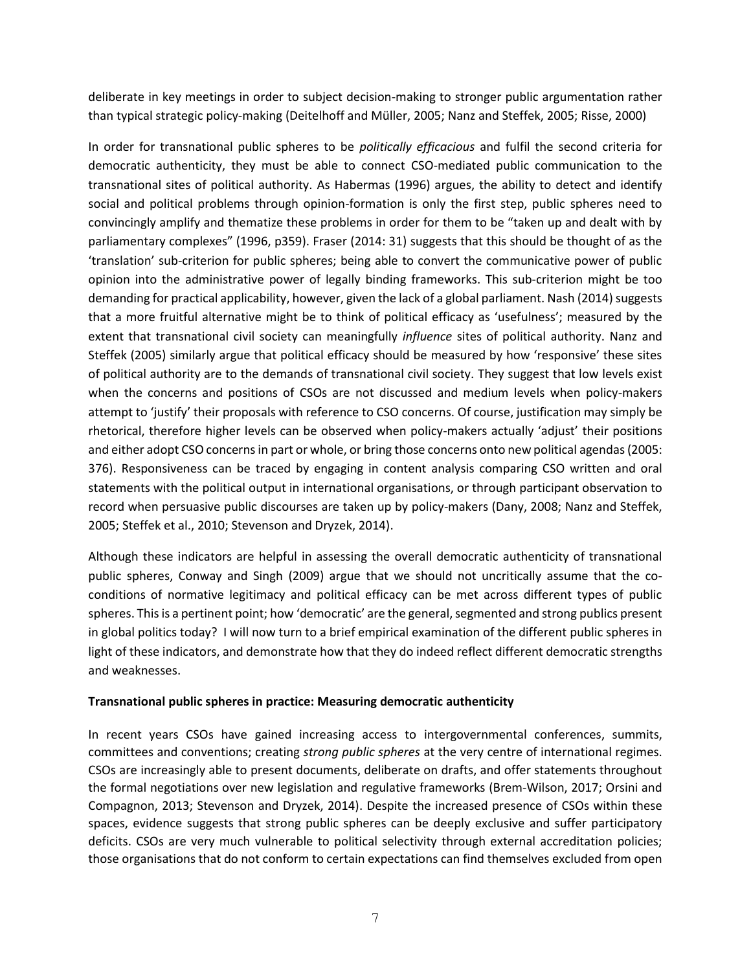deliberate in key meetings in order to subject decision-making to stronger public argumentation rather than typical strategic policy-making (Deitelhoff and Müller, 2005; Nanz and Steffek, 2005; Risse, 2000)

In order for transnational public spheres to be *politically efficacious* and fulfil the second criteria for democratic authenticity, they must be able to connect CSO-mediated public communication to the transnational sites of political authority. As Habermas (1996) argues, the ability to detect and identify social and political problems through opinion-formation is only the first step, public spheres need to convincingly amplify and thematize these problems in order for them to be "taken up and dealt with by parliamentary complexes" (1996, p359). Fraser (2014: 31) suggests that this should be thought of as the 'translation' sub*-*criterion for public spheres; being able to convert the communicative power of public opinion into the administrative power of legally binding frameworks. This sub-criterion might be too demanding for practical applicability, however, given the lack of a global parliament. Nash (2014) suggests that a more fruitful alternative might be to think of political efficacy as 'usefulness'; measured by the extent that transnational civil society can meaningfully *influence* sites of political authority. Nanz and Steffek (2005) similarly argue that political efficacy should be measured by how 'responsive' these sites of political authority are to the demands of transnational civil society. They suggest that low levels exist when the concerns and positions of CSOs are not discussed and medium levels when policy-makers attempt to 'justify' their proposals with reference to CSO concerns. Of course, justification may simply be rhetorical, therefore higher levels can be observed when policy-makers actually 'adjust' their positions and either adopt CSO concerns in part or whole, or bring those concerns onto new political agendas(2005: 376). Responsiveness can be traced by engaging in content analysis comparing CSO written and oral statements with the political output in international organisations, or through participant observation to record when persuasive public discourses are taken up by policy-makers (Dany, 2008; Nanz and Steffek, 2005; Steffek et al., 2010; Stevenson and Dryzek, 2014).

Although these indicators are helpful in assessing the overall democratic authenticity of transnational public spheres, Conway and Singh (2009) argue that we should not uncritically assume that the coconditions of normative legitimacy and political efficacy can be met across different types of public spheres. This is a pertinent point; how 'democratic' are the general, segmented and strong publics present in global politics today? I will now turn to a brief empirical examination of the different public spheres in light of these indicators, and demonstrate how that they do indeed reflect different democratic strengths and weaknesses.

#### **Transnational public spheres in practice: Measuring democratic authenticity**

In recent years CSOs have gained increasing access to intergovernmental conferences, summits, committees and conventions; creating *strong public spheres* at the very centre of international regimes. CSOs are increasingly able to present documents, deliberate on drafts, and offer statements throughout the formal negotiations over new legislation and regulative frameworks (Brem-Wilson, 2017; Orsini and Compagnon, 2013; Stevenson and Dryzek, 2014). Despite the increased presence of CSOs within these spaces, evidence suggests that strong public spheres can be deeply exclusive and suffer participatory deficits. CSOs are very much vulnerable to political selectivity through external accreditation policies; those organisations that do not conform to certain expectations can find themselves excluded from open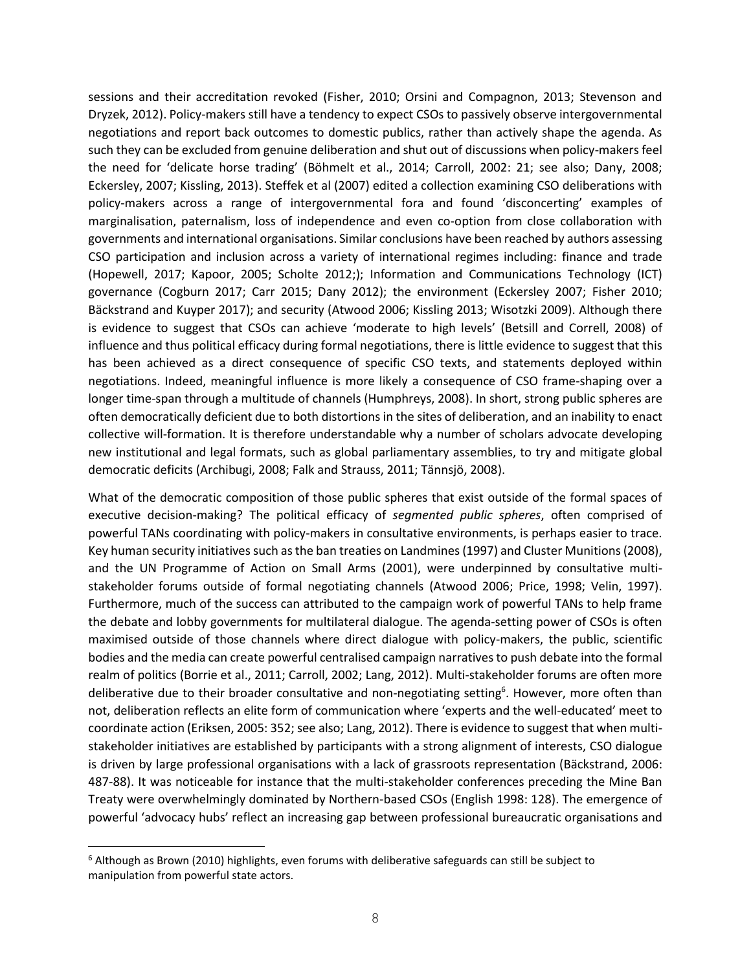sessions and their accreditation revoked (Fisher, 2010; Orsini and Compagnon, 2013; Stevenson and Dryzek, 2012). Policy-makers still have a tendency to expect CSOs to passively observe intergovernmental negotiations and report back outcomes to domestic publics, rather than actively shape the agenda. As such they can be excluded from genuine deliberation and shut out of discussions when policy-makers feel the need for 'delicate horse trading' (Böhmelt et al., 2014; Carroll, 2002: 21; see also; Dany, 2008; Eckersley, 2007; Kissling, 2013). Steffek et al (2007) edited a collection examining CSO deliberations with policy-makers across a range of intergovernmental fora and found 'disconcerting' examples of marginalisation, paternalism, loss of independence and even co-option from close collaboration with governments and international organisations. Similar conclusions have been reached by authors assessing CSO participation and inclusion across a variety of international regimes including: finance and trade (Hopewell, 2017; Kapoor, 2005; Scholte 2012;); Information and Communications Technology (ICT) governance (Cogburn 2017; Carr 2015; Dany 2012); the environment (Eckersley 2007; Fisher 2010; Bäckstrand and Kuyper 2017); and security (Atwood 2006; Kissling 2013; Wisotzki 2009). Although there is evidence to suggest that CSOs can achieve 'moderate to high levels' (Betsill and Correll, 2008) of influence and thus political efficacy during formal negotiations, there is little evidence to suggest that this has been achieved as a direct consequence of specific CSO texts, and statements deployed within negotiations. Indeed, meaningful influence is more likely a consequence of CSO frame-shaping over a longer time-span through a multitude of channels (Humphreys, 2008). In short, strong public spheres are often democratically deficient due to both distortions in the sites of deliberation, and an inability to enact collective will-formation. It is therefore understandable why a number of scholars advocate developing new institutional and legal formats, such as global parliamentary assemblies, to try and mitigate global democratic deficits (Archibugi, 2008; Falk and Strauss, 2011; Tännsjö, 2008).

What of the democratic composition of those public spheres that exist outside of the formal spaces of executive decision-making? The political efficacy of *segmented public spheres*, often comprised of powerful TANs coordinating with policy-makers in consultative environments, is perhaps easier to trace. Key human security initiatives such as the ban treaties on Landmines (1997) and Cluster Munitions (2008), and the UN Programme of Action on Small Arms (2001), were underpinned by consultative multistakeholder forums outside of formal negotiating channels (Atwood 2006; Price, 1998; Velin, 1997). Furthermore, much of the success can attributed to the campaign work of powerful TANs to help frame the debate and lobby governments for multilateral dialogue. The agenda-setting power of CSOs is often maximised outside of those channels where direct dialogue with policy-makers, the public, scientific bodies and the media can create powerful centralised campaign narrativesto push debate into the formal realm of politics (Borrie et al., 2011; Carroll, 2002; Lang, 2012). Multi-stakeholder forums are often more deliberative due to their broader consultative and non-negotiating setting<sup>6</sup>. However, more often than not, deliberation reflects an elite form of communication where 'experts and the well-educated' meet to coordinate action (Eriksen, 2005: 352; see also; Lang, 2012). There is evidence to suggest that when multistakeholder initiatives are established by participants with a strong alignment of interests, CSO dialogue is driven by large professional organisations with a lack of grassroots representation (Bäckstrand, 2006: 487-88). It was noticeable for instance that the multi-stakeholder conferences preceding the Mine Ban Treaty were overwhelmingly dominated by Northern-based CSOs (English 1998: 128). The emergence of powerful 'advocacy hubs' reflect an increasing gap between professional bureaucratic organisations and

J.

 $6$  Although as Brown (2010) highlights, even forums with deliberative safeguards can still be subject to manipulation from powerful state actors.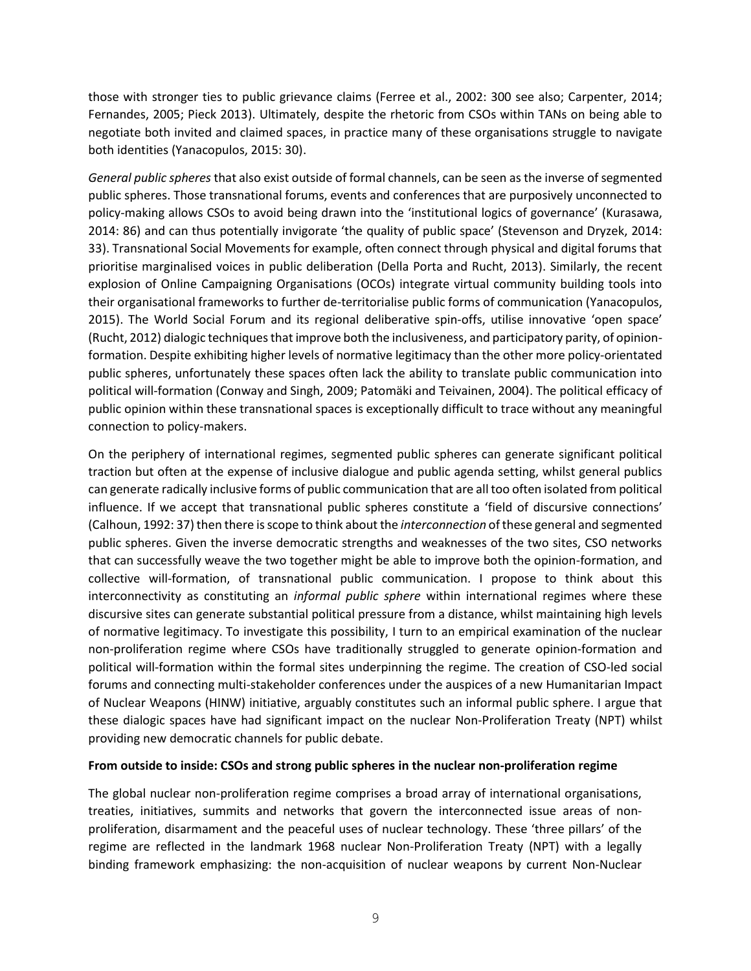those with stronger ties to public grievance claims (Ferree et al., 2002: 300 see also; Carpenter, 2014; Fernandes, 2005; Pieck 2013). Ultimately, despite the rhetoric from CSOs within TANs on being able to negotiate both invited and claimed spaces, in practice many of these organisations struggle to navigate both identities (Yanacopulos, 2015: 30).

*General public spheres* that also exist outside of formal channels, can be seen as the inverse of segmented public spheres. Those transnational forums, events and conferences that are purposively unconnected to policy-making allows CSOs to avoid being drawn into the 'institutional logics of governance' (Kurasawa, 2014: 86) and can thus potentially invigorate 'the quality of public space' (Stevenson and Dryzek, 2014: 33). Transnational Social Movements for example, often connect through physical and digital forums that prioritise marginalised voices in public deliberation (Della Porta and Rucht, 2013). Similarly, the recent explosion of Online Campaigning Organisations (OCOs) integrate virtual community building tools into their organisational frameworks to further de-territorialise public forms of communication (Yanacopulos, 2015). The World Social Forum and its regional deliberative spin-offs, utilise innovative 'open space' (Rucht, 2012) dialogic techniques that improve both the inclusiveness, and participatory parity, of opinionformation. Despite exhibiting higher levels of normative legitimacy than the other more policy-orientated public spheres, unfortunately these spaces often lack the ability to translate public communication into political will-formation (Conway and Singh, 2009; Patomäki and Teivainen, 2004). The political efficacy of public opinion within these transnational spaces is exceptionally difficult to trace without any meaningful connection to policy-makers.

On the periphery of international regimes, segmented public spheres can generate significant political traction but often at the expense of inclusive dialogue and public agenda setting, whilst general publics can generate radically inclusive forms of public communication that are all too often isolated from political influence. If we accept that transnational public spheres constitute a 'field of discursive connections' (Calhoun, 1992: 37) then there is scope to think about the *interconnection* of these general and segmented public spheres. Given the inverse democratic strengths and weaknesses of the two sites, CSO networks that can successfully weave the two together might be able to improve both the opinion-formation, and collective will-formation, of transnational public communication. I propose to think about this interconnectivity as constituting an *informal public sphere* within international regimes where these discursive sites can generate substantial political pressure from a distance, whilst maintaining high levels of normative legitimacy. To investigate this possibility, I turn to an empirical examination of the nuclear non-proliferation regime where CSOs have traditionally struggled to generate opinion-formation and political will-formation within the formal sites underpinning the regime. The creation of CSO-led social forums and connecting multi-stakeholder conferences under the auspices of a new Humanitarian Impact of Nuclear Weapons (HINW) initiative, arguably constitutes such an informal public sphere. I argue that these dialogic spaces have had significant impact on the nuclear Non-Proliferation Treaty (NPT) whilst providing new democratic channels for public debate.

#### **From outside to inside: CSOs and strong public spheres in the nuclear non-proliferation regime**

The global nuclear non-proliferation regime comprises a broad array of international organisations, treaties, initiatives, summits and networks that govern the interconnected issue areas of nonproliferation, disarmament and the peaceful uses of nuclear technology. These 'three pillars' of the regime are reflected in the landmark 1968 nuclear Non-Proliferation Treaty (NPT) with a legally binding framework emphasizing: the non-acquisition of nuclear weapons by current Non-Nuclear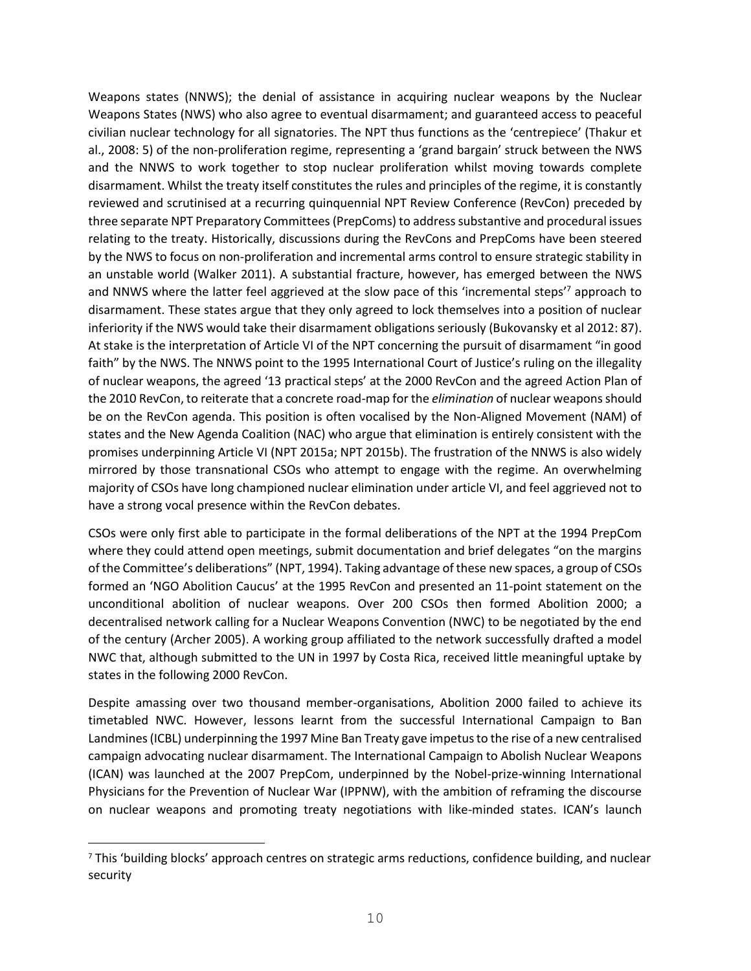Weapons states (NNWS); the denial of assistance in acquiring nuclear weapons by the Nuclear Weapons States (NWS) who also agree to eventual disarmament; and guaranteed access to peaceful civilian nuclear technology for all signatories. The NPT thus functions as the 'centrepiece' (Thakur et al., 2008: 5) of the non-proliferation regime, representing a 'grand bargain' struck between the NWS and the NNWS to work together to stop nuclear proliferation whilst moving towards complete disarmament. Whilst the treaty itself constitutes the rules and principles of the regime, it is constantly reviewed and scrutinised at a recurring quinquennial NPT Review Conference (RevCon) preceded by three separate NPT Preparatory Committees (PrepComs) to address substantive and procedural issues relating to the treaty. Historically, discussions during the RevCons and PrepComs have been steered by the NWS to focus on non-proliferation and incremental arms control to ensure strategic stability in an unstable world (Walker 2011). A substantial fracture, however, has emerged between the NWS and NNWS where the latter feel aggrieved at the slow pace of this 'incremental steps'<sup>7</sup> approach to disarmament. These states argue that they only agreed to lock themselves into a position of nuclear inferiority if the NWS would take their disarmament obligations seriously (Bukovansky et al 2012: 87). At stake is the interpretation of Article VI of the NPT concerning the pursuit of disarmament "in good faith" by the NWS. The NNWS point to the 1995 International Court of Justice's ruling on the illegality of nuclear weapons, the agreed '13 practical steps' at the 2000 RevCon and the agreed Action Plan of the 2010 RevCon, to reiterate that a concrete road-map for the *elimination* of nuclear weapons should be on the RevCon agenda. This position is often vocalised by the Non-Aligned Movement (NAM) of states and the New Agenda Coalition (NAC) who argue that elimination is entirely consistent with the promises underpinning Article VI (NPT 2015a; NPT 2015b). The frustration of the NNWS is also widely mirrored by those transnational CSOs who attempt to engage with the regime. An overwhelming majority of CSOs have long championed nuclear elimination under article VI, and feel aggrieved not to have a strong vocal presence within the RevCon debates.

CSOs were only first able to participate in the formal deliberations of the NPT at the 1994 PrepCom where they could attend open meetings, submit documentation and brief delegates "on the margins of the Committee's deliberations" (NPT, 1994). Taking advantage of these new spaces, a group of CSOs formed an 'NGO Abolition Caucus' at the 1995 RevCon and presented an 11-point statement on the unconditional abolition of nuclear weapons. Over 200 CSOs then formed Abolition 2000; a decentralised network calling for a Nuclear Weapons Convention (NWC) to be negotiated by the end of the century (Archer 2005). A working group affiliated to the network successfully drafted a model NWC that, although submitted to the UN in 1997 by Costa Rica, received little meaningful uptake by states in the following 2000 RevCon.

Despite amassing over two thousand member-organisations, Abolition 2000 failed to achieve its timetabled NWC. However, lessons learnt from the successful International Campaign to Ban Landmines (ICBL) underpinning the 1997 Mine Ban Treaty gave impetus to the rise of a new centralised campaign advocating nuclear disarmament. The International Campaign to Abolish Nuclear Weapons (ICAN) was launched at the 2007 PrepCom, underpinned by the Nobel-prize-winning International Physicians for the Prevention of Nuclear War (IPPNW), with the ambition of reframing the discourse on nuclear weapons and promoting treaty negotiations with like-minded states. ICAN's launch

j.

<sup>7</sup> This 'building blocks' approach centres on strategic arms reductions, confidence building, and nuclear security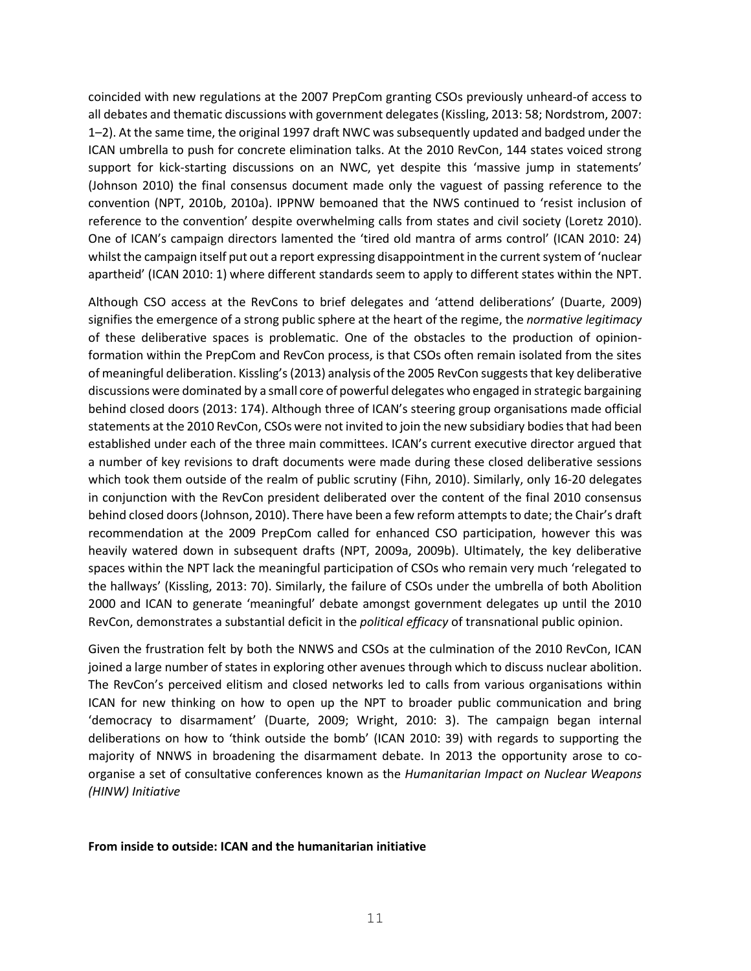coincided with new regulations at the 2007 PrepCom granting CSOs previously unheard-of access to all debates and thematic discussions with government delegates (Kissling, 2013: 58; Nordstrom, 2007: 1–2). At the same time, the original 1997 draft NWC was subsequently updated and badged under the ICAN umbrella to push for concrete elimination talks. At the 2010 RevCon, 144 states voiced strong support for kick-starting discussions on an NWC, yet despite this 'massive jump in statements' (Johnson 2010) the final consensus document made only the vaguest of passing reference to the convention (NPT, 2010b, 2010a). IPPNW bemoaned that the NWS continued to 'resist inclusion of reference to the convention' despite overwhelming calls from states and civil society (Loretz 2010). One of ICAN's campaign directors lamented the 'tired old mantra of arms control' (ICAN 2010: 24) whilst the campaign itself put out a report expressing disappointment in the current system of 'nuclear apartheid' (ICAN 2010: 1) where different standards seem to apply to different states within the NPT.

Although CSO access at the RevCons to brief delegates and 'attend deliberations' (Duarte, 2009) signifies the emergence of a strong public sphere at the heart of the regime, the *normative legitimacy* of these deliberative spaces is problematic. One of the obstacles to the production of opinionformation within the PrepCom and RevCon process, is that CSOs often remain isolated from the sites of meaningful deliberation. Kissling's (2013) analysis of the 2005 RevCon suggests that key deliberative discussions were dominated by a small core of powerful delegates who engaged in strategic bargaining behind closed doors (2013: 174). Although three of ICAN's steering group organisations made official statements at the 2010 RevCon, CSOs were not invited to join the new subsidiary bodies that had been established under each of the three main committees. ICAN's current executive director argued that a number of key revisions to draft documents were made during these closed deliberative sessions which took them outside of the realm of public scrutiny (Fihn, 2010). Similarly, only 16-20 delegates in conjunction with the RevCon president deliberated over the content of the final 2010 consensus behind closed doors (Johnson, 2010). There have been a few reform attempts to date; the Chair's draft recommendation at the 2009 PrepCom called for enhanced CSO participation, however this was heavily watered down in subsequent drafts (NPT, 2009a, 2009b). Ultimately, the key deliberative spaces within the NPT lack the meaningful participation of CSOs who remain very much 'relegated to the hallways' (Kissling, 2013: 70). Similarly, the failure of CSOs under the umbrella of both Abolition 2000 and ICAN to generate 'meaningful' debate amongst government delegates up until the 2010 RevCon, demonstrates a substantial deficit in the *political efficacy* of transnational public opinion.

Given the frustration felt by both the NNWS and CSOs at the culmination of the 2010 RevCon, ICAN joined a large number of states in exploring other avenues through which to discuss nuclear abolition. The RevCon's perceived elitism and closed networks led to calls from various organisations within ICAN for new thinking on how to open up the NPT to broader public communication and bring 'democracy to disarmament' (Duarte, 2009; Wright, 2010: 3). The campaign began internal deliberations on how to 'think outside the bomb' (ICAN 2010: 39) with regards to supporting the majority of NNWS in broadening the disarmament debate. In 2013 the opportunity arose to coorganise a set of consultative conferences known as the *Humanitarian Impact on Nuclear Weapons (HINW) Initiative*

#### **From inside to outside: ICAN and the humanitarian initiative**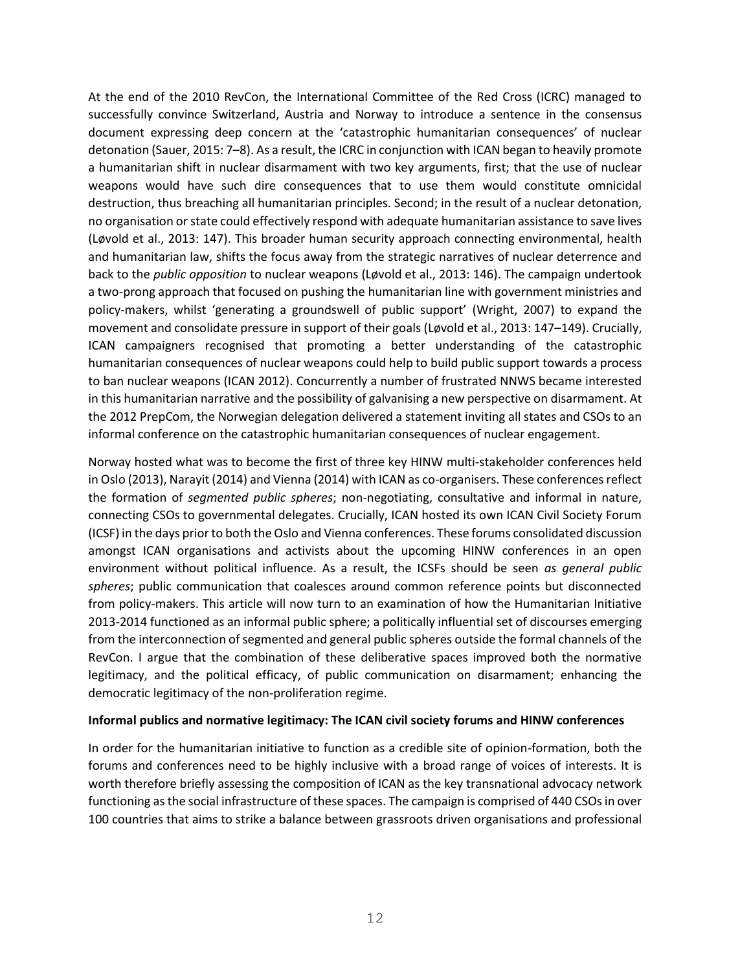At the end of the 2010 RevCon, the International Committee of the Red Cross (ICRC) managed to successfully convince Switzerland, Austria and Norway to introduce a sentence in the consensus document expressing deep concern at the 'catastrophic humanitarian consequences' of nuclear detonation (Sauer, 2015: 7–8). As a result, the ICRC in conjunction with ICAN began to heavily promote a humanitarian shift in nuclear disarmament with two key arguments, first; that the use of nuclear weapons would have such dire consequences that to use them would constitute omnicidal destruction, thus breaching all humanitarian principles. Second; in the result of a nuclear detonation, no organisation or state could effectively respond with adequate humanitarian assistance to save lives (Løvold et al., 2013: 147). This broader human security approach connecting environmental, health and humanitarian law, shifts the focus away from the strategic narratives of nuclear deterrence and back to the *public opposition* to nuclear weapons (Løvold et al., 2013: 146). The campaign undertook a two-prong approach that focused on pushing the humanitarian line with government ministries and policy-makers, whilst 'generating a groundswell of public support' (Wright, 2007) to expand the movement and consolidate pressure in support of their goals (Løvold et al., 2013: 147–149). Crucially, ICAN campaigners recognised that promoting a better understanding of the catastrophic humanitarian consequences of nuclear weapons could help to build public support towards a process to ban nuclear weapons (ICAN 2012). Concurrently a number of frustrated NNWS became interested in this humanitarian narrative and the possibility of galvanising a new perspective on disarmament. At the 2012 PrepCom, the Norwegian delegation delivered a statement inviting all states and CSOs to an informal conference on the catastrophic humanitarian consequences of nuclear engagement.

Norway hosted what was to become the first of three key HINW multi-stakeholder conferences held in Oslo (2013), Narayit (2014) and Vienna (2014) with ICAN as co-organisers. These conferences reflect the formation of *segmented public spheres*; non-negotiating, consultative and informal in nature, connecting CSOs to governmental delegates. Crucially, ICAN hosted its own ICAN Civil Society Forum (ICSF) in the days prior to both the Oslo and Vienna conferences. These forums consolidated discussion amongst ICAN organisations and activists about the upcoming HINW conferences in an open environment without political influence. As a result, the ICSFs should be seen *as general public spheres*; public communication that coalesces around common reference points but disconnected from policy-makers. This article will now turn to an examination of how the Humanitarian Initiative 2013-2014 functioned as an informal public sphere; a politically influential set of discourses emerging from the interconnection of segmented and general public spheres outside the formal channels of the RevCon. I argue that the combination of these deliberative spaces improved both the normative legitimacy, and the political efficacy, of public communication on disarmament; enhancing the democratic legitimacy of the non-proliferation regime.

#### **Informal publics and normative legitimacy: The ICAN civil society forums and HINW conferences**

In order for the humanitarian initiative to function as a credible site of opinion-formation, both the forums and conferences need to be highly inclusive with a broad range of voices of interests. It is worth therefore briefly assessing the composition of ICAN as the key transnational advocacy network functioning as the social infrastructure of these spaces. The campaign is comprised of 440 CSOs in over 100 countries that aims to strike a balance between grassroots driven organisations and professional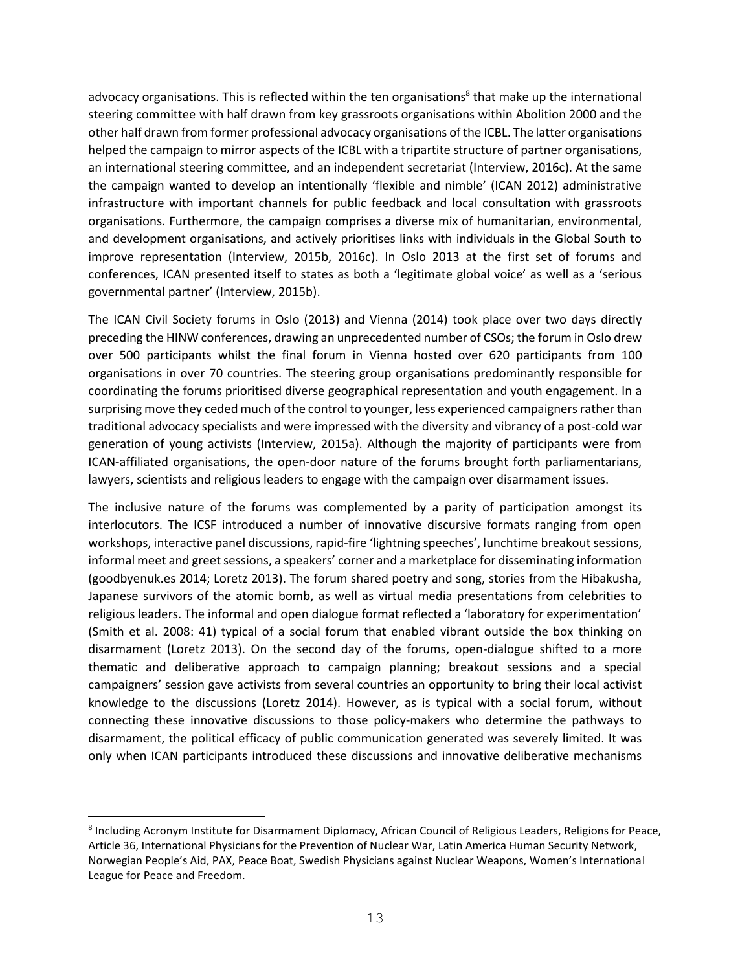advocacy organisations. This is reflected within the ten organisations<sup>8</sup> that make up the international steering committee with half drawn from key grassroots organisations within Abolition 2000 and the other half drawn from former professional advocacy organisations of the ICBL. The latter organisations helped the campaign to mirror aspects of the ICBL with a tripartite structure of partner organisations, an international steering committee, and an independent secretariat (Interview, 2016c). At the same the campaign wanted to develop an intentionally 'flexible and nimble' (ICAN 2012) administrative infrastructure with important channels for public feedback and local consultation with grassroots organisations. Furthermore, the campaign comprises a diverse mix of humanitarian, environmental, and development organisations, and actively prioritises links with individuals in the Global South to improve representation (Interview, 2015b, 2016c). In Oslo 2013 at the first set of forums and conferences, ICAN presented itself to states as both a 'legitimate global voice' as well as a 'serious governmental partner' (Interview, 2015b).

The ICAN Civil Society forums in Oslo (2013) and Vienna (2014) took place over two days directly preceding the HINW conferences, drawing an unprecedented number of CSOs; the forum in Oslo drew over 500 participants whilst the final forum in Vienna hosted over 620 participants from 100 organisations in over 70 countries. The steering group organisations predominantly responsible for coordinating the forums prioritised diverse geographical representation and youth engagement. In a surprising move they ceded much of the control to younger, less experienced campaigners rather than traditional advocacy specialists and were impressed with the diversity and vibrancy of a post-cold war generation of young activists (Interview, 2015a). Although the majority of participants were from ICAN-affiliated organisations, the open-door nature of the forums brought forth parliamentarians, lawyers, scientists and religious leaders to engage with the campaign over disarmament issues.

The inclusive nature of the forums was complemented by a parity of participation amongst its interlocutors. The ICSF introduced a number of innovative discursive formats ranging from open workshops, interactive panel discussions, rapid-fire 'lightning speeches', lunchtime breakout sessions, informal meet and greet sessions, a speakers' corner and a marketplace for disseminating information (goodbyenuk.es 2014; Loretz 2013). The forum shared poetry and song, stories from the Hibakusha, Japanese survivors of the atomic bomb, as well as virtual media presentations from celebrities to religious leaders. The informal and open dialogue format reflected a 'laboratory for experimentation' (Smith et al. 2008: 41) typical of a social forum that enabled vibrant outside the box thinking on disarmament (Loretz 2013). On the second day of the forums, open-dialogue shifted to a more thematic and deliberative approach to campaign planning; breakout sessions and a special campaigners' session gave activists from several countries an opportunity to bring their local activist knowledge to the discussions (Loretz 2014). However, as is typical with a social forum, without connecting these innovative discussions to those policy-makers who determine the pathways to disarmament, the political efficacy of public communication generated was severely limited. It was only when ICAN participants introduced these discussions and innovative deliberative mechanisms

ı.

<sup>&</sup>lt;sup>8</sup> Including Acronym Institute for Disarmament Diplomacy, African Council of Religious Leaders, Religions for Peace, Article 36, International Physicians for the Prevention of Nuclear War, Latin America Human Security Network, Norwegian People's Aid, PAX, Peace Boat, Swedish Physicians against Nuclear Weapons, Women's International League for Peace and Freedom.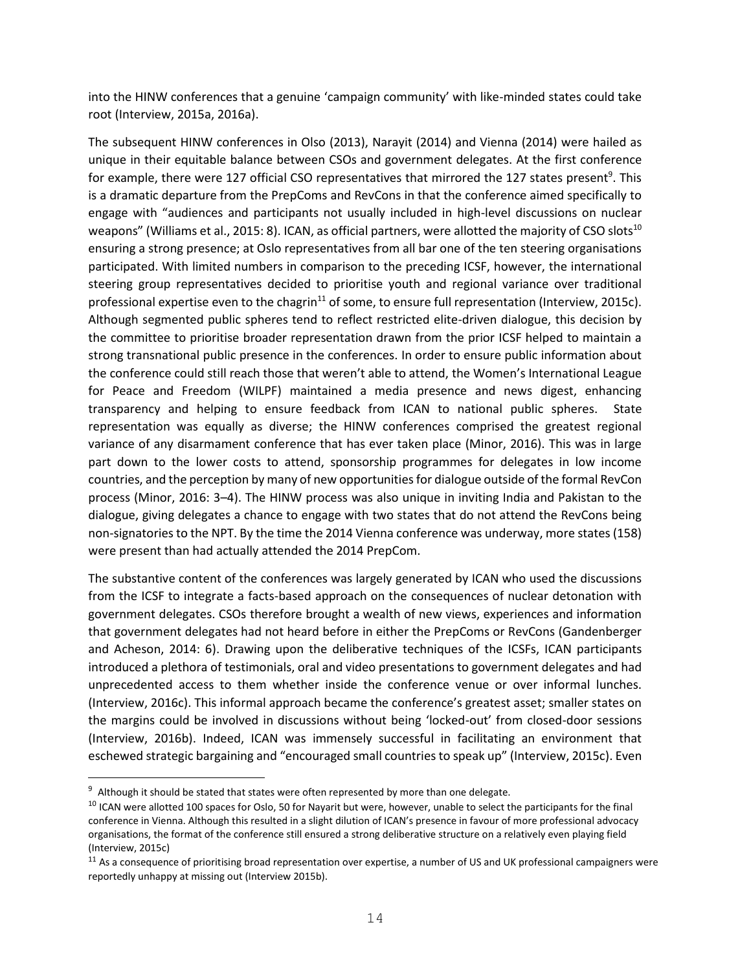into the HINW conferences that a genuine 'campaign community' with like-minded states could take root (Interview, 2015a, 2016a).

The subsequent HINW conferences in Olso (2013), Narayit (2014) and Vienna (2014) were hailed as unique in their equitable balance between CSOs and government delegates. At the first conference for example, there were 127 official CSO representatives that mirrored the 127 states present<sup>9</sup>. This is a dramatic departure from the PrepComs and RevCons in that the conference aimed specifically to engage with "audiences and participants not usually included in high-level discussions on nuclear weapons" (Williams et al., 2015: 8). ICAN, as official partners, were allotted the majority of CSO slots<sup>10</sup> ensuring a strong presence; at Oslo representatives from all bar one of the ten steering organisations participated. With limited numbers in comparison to the preceding ICSF, however, the international steering group representatives decided to prioritise youth and regional variance over traditional professional expertise even to the chagrin<sup>11</sup> of some, to ensure full representation (Interview, 2015c). Although segmented public spheres tend to reflect restricted elite-driven dialogue, this decision by the committee to prioritise broader representation drawn from the prior ICSF helped to maintain a strong transnational public presence in the conferences. In order to ensure public information about the conference could still reach those that weren't able to attend, the Women's International League for Peace and Freedom (WILPF) maintained a media presence and news digest, enhancing transparency and helping to ensure feedback from ICAN to national public spheres. State representation was equally as diverse; the HINW conferences comprised the greatest regional variance of any disarmament conference that has ever taken place (Minor, 2016). This was in large part down to the lower costs to attend, sponsorship programmes for delegates in low income countries, and the perception by many of new opportunities for dialogue outside of the formal RevCon process (Minor, 2016: 3–4). The HINW process was also unique in inviting India and Pakistan to the dialogue, giving delegates a chance to engage with two states that do not attend the RevCons being non-signatories to the NPT. By the time the 2014 Vienna conference was underway, more states (158) were present than had actually attended the 2014 PrepCom.

The substantive content of the conferences was largely generated by ICAN who used the discussions from the ICSF to integrate a facts-based approach on the consequences of nuclear detonation with government delegates. CSOs therefore brought a wealth of new views, experiences and information that government delegates had not heard before in either the PrepComs or RevCons (Gandenberger and Acheson, 2014: 6). Drawing upon the deliberative techniques of the ICSFs, ICAN participants introduced a plethora of testimonials, oral and video presentations to government delegates and had unprecedented access to them whether inside the conference venue or over informal lunches. (Interview, 2016c). This informal approach became the conference's greatest asset; smaller states on the margins could be involved in discussions without being 'locked-out' from closed-door sessions (Interview, 2016b). Indeed, ICAN was immensely successful in facilitating an environment that eschewed strategic bargaining and "encouraged small countries to speak up" (Interview, 2015c). Even

÷,

<sup>&</sup>lt;sup>9</sup> Although it should be stated that states were often represented by more than one delegate.

<sup>&</sup>lt;sup>10</sup> ICAN were allotted 100 spaces for Oslo, 50 for Nayarit but were, however, unable to select the participants for the final conference in Vienna. Although this resulted in a slight dilution of ICAN's presence in favour of more professional advocacy organisations, the format of the conference still ensured a strong deliberative structure on a relatively even playing field (Interview, 2015c)

 $11$  As a consequence of prioritising broad representation over expertise, a number of US and UK professional campaigners were reportedly unhappy at missing out (Interview 2015b).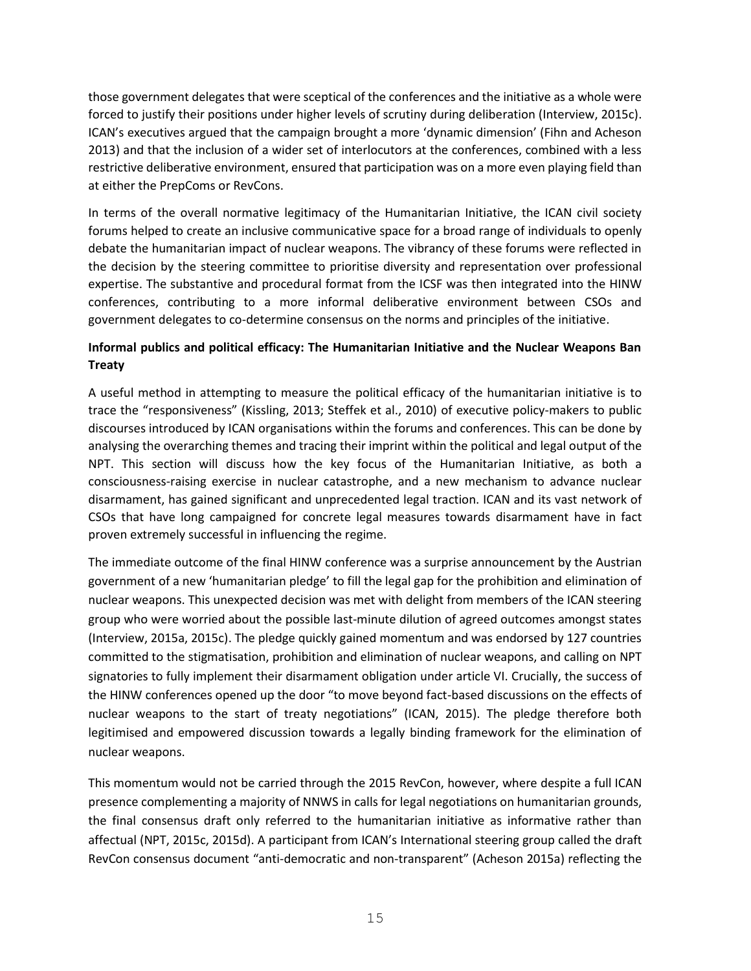those government delegates that were sceptical of the conferences and the initiative as a whole were forced to justify their positions under higher levels of scrutiny during deliberation (Interview, 2015c). ICAN's executives argued that the campaign brought a more 'dynamic dimension' (Fihn and Acheson 2013) and that the inclusion of a wider set of interlocutors at the conferences, combined with a less restrictive deliberative environment, ensured that participation was on a more even playing field than at either the PrepComs or RevCons.

In terms of the overall normative legitimacy of the Humanitarian Initiative, the ICAN civil society forums helped to create an inclusive communicative space for a broad range of individuals to openly debate the humanitarian impact of nuclear weapons. The vibrancy of these forums were reflected in the decision by the steering committee to prioritise diversity and representation over professional expertise. The substantive and procedural format from the ICSF was then integrated into the HINW conferences, contributing to a more informal deliberative environment between CSOs and government delegates to co-determine consensus on the norms and principles of the initiative.

### **Informal publics and political efficacy: The Humanitarian Initiative and the Nuclear Weapons Ban Treaty**

A useful method in attempting to measure the political efficacy of the humanitarian initiative is to trace the "responsiveness" (Kissling, 2013; Steffek et al., 2010) of executive policy-makers to public discourses introduced by ICAN organisations within the forums and conferences. This can be done by analysing the overarching themes and tracing their imprint within the political and legal output of the NPT. This section will discuss how the key focus of the Humanitarian Initiative, as both a consciousness-raising exercise in nuclear catastrophe, and a new mechanism to advance nuclear disarmament, has gained significant and unprecedented legal traction. ICAN and its vast network of CSOs that have long campaigned for concrete legal measures towards disarmament have in fact proven extremely successful in influencing the regime.

The immediate outcome of the final HINW conference was a surprise announcement by the Austrian government of a new 'humanitarian pledge' to fill the legal gap for the prohibition and elimination of nuclear weapons. This unexpected decision was met with delight from members of the ICAN steering group who were worried about the possible last-minute dilution of agreed outcomes amongst states (Interview, 2015a, 2015c). The pledge quickly gained momentum and was endorsed by 127 countries committed to the stigmatisation, prohibition and elimination of nuclear weapons, and calling on NPT signatories to fully implement their disarmament obligation under article VI. Crucially, the success of the HINW conferences opened up the door "to move beyond fact-based discussions on the effects of nuclear weapons to the start of treaty negotiations" (ICAN, 2015). The pledge therefore both legitimised and empowered discussion towards a legally binding framework for the elimination of nuclear weapons.

This momentum would not be carried through the 2015 RevCon, however, where despite a full ICAN presence complementing a majority of NNWS in calls for legal negotiations on humanitarian grounds, the final consensus draft only referred to the humanitarian initiative as informative rather than affectual (NPT, 2015c, 2015d). A participant from ICAN's International steering group called the draft RevCon consensus document "anti-democratic and non-transparent" (Acheson 2015a) reflecting the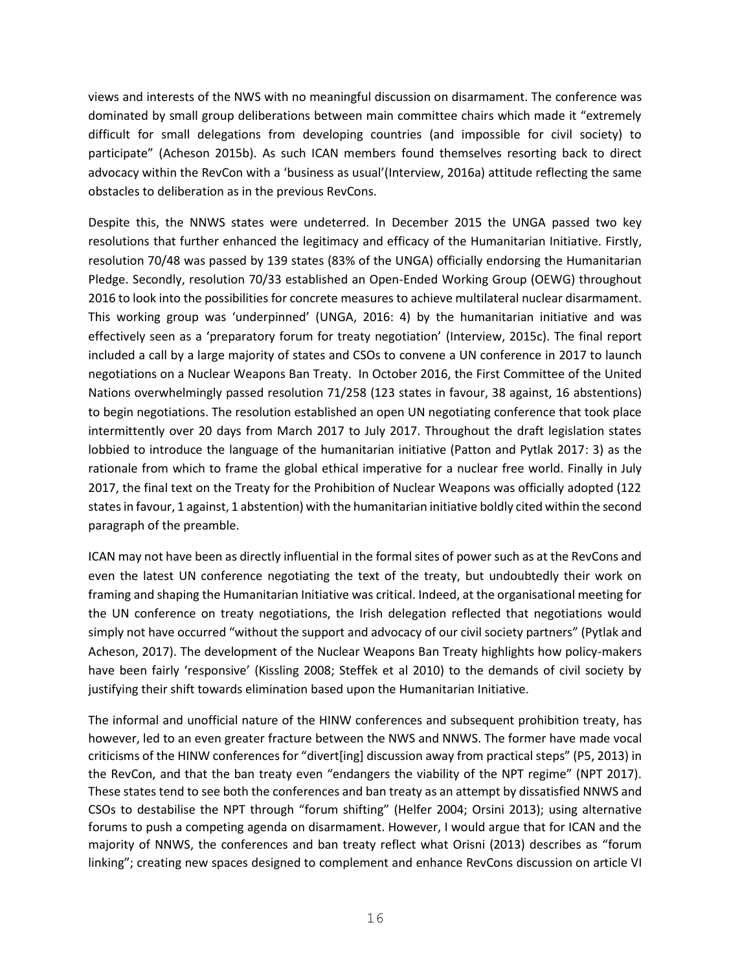views and interests of the NWS with no meaningful discussion on disarmament. The conference was dominated by small group deliberations between main committee chairs which made it "extremely difficult for small delegations from developing countries (and impossible for civil society) to participate" (Acheson 2015b). As such ICAN members found themselves resorting back to direct advocacy within the RevCon with a 'business as usual'(Interview, 2016a) attitude reflecting the same obstacles to deliberation as in the previous RevCons.

Despite this, the NNWS states were undeterred. In December 2015 the UNGA passed two key resolutions that further enhanced the legitimacy and efficacy of the Humanitarian Initiative. Firstly, resolution 70/48 was passed by 139 states (83% of the UNGA) officially endorsing the Humanitarian Pledge. Secondly, resolution 70/33 established an Open-Ended Working Group (OEWG) throughout 2016 to look into the possibilities for concrete measures to achieve multilateral nuclear disarmament. This working group was 'underpinned' (UNGA, 2016: 4) by the humanitarian initiative and was effectively seen as a 'preparatory forum for treaty negotiation' (Interview, 2015c). The final report included a call by a large majority of states and CSOs to convene a UN conference in 2017 to launch negotiations on a Nuclear Weapons Ban Treaty. In October 2016, the First Committee of the United Nations overwhelmingly passed resolution 71/258 (123 states in favour, 38 against, 16 abstentions) to begin negotiations. The resolution established an open UN negotiating conference that took place intermittently over 20 days from March 2017 to July 2017. Throughout the draft legislation states lobbied to introduce the language of the humanitarian initiative (Patton and Pytlak 2017: 3) as the rationale from which to frame the global ethical imperative for a nuclear free world. Finally in July 2017, the final text on the Treaty for the Prohibition of Nuclear Weapons was officially adopted (122 states in favour, 1 against, 1 abstention) with the humanitarian initiative boldly cited within the second paragraph of the preamble.

ICAN may not have been as directly influential in the formal sites of power such as at the RevCons and even the latest UN conference negotiating the text of the treaty, but undoubtedly their work on framing and shaping the Humanitarian Initiative was critical. Indeed, at the organisational meeting for the UN conference on treaty negotiations, the Irish delegation reflected that negotiations would simply not have occurred "without the support and advocacy of our civil society partners" (Pytlak and Acheson, 2017). The development of the Nuclear Weapons Ban Treaty highlights how policy-makers have been fairly 'responsive' (Kissling 2008; Steffek et al 2010) to the demands of civil society by justifying their shift towards elimination based upon the Humanitarian Initiative.

The informal and unofficial nature of the HINW conferences and subsequent prohibition treaty, has however, led to an even greater fracture between the NWS and NNWS. The former have made vocal criticisms of the HINW conferences for "divert[ing] discussion away from practical steps" (P5, 2013) in the RevCon, and that the ban treaty even "endangers the viability of the NPT regime" (NPT 2017). These states tend to see both the conferences and ban treaty as an attempt by dissatisfied NNWS and CSOs to destabilise the NPT through "forum shifting" (Helfer 2004; Orsini 2013); using alternative forums to push a competing agenda on disarmament. However, I would argue that for ICAN and the majority of NNWS, the conferences and ban treaty reflect what Orisni (2013) describes as "forum linking"; creating new spaces designed to complement and enhance RevCons discussion on article VI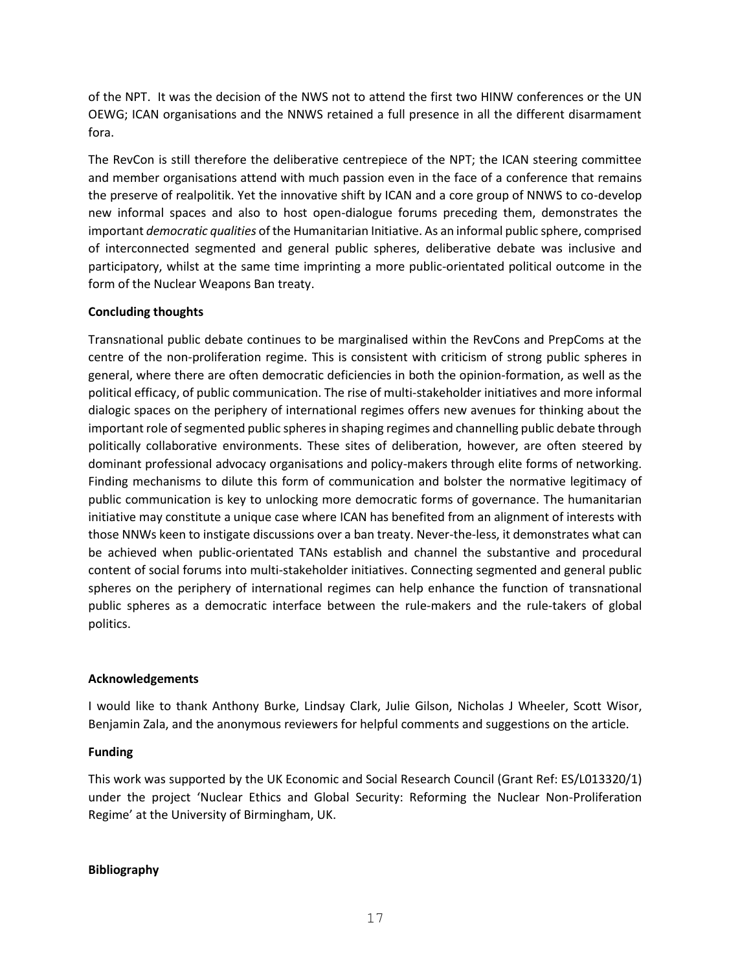of the NPT. It was the decision of the NWS not to attend the first two HINW conferences or the UN OEWG; ICAN organisations and the NNWS retained a full presence in all the different disarmament fora.

The RevCon is still therefore the deliberative centrepiece of the NPT; the ICAN steering committee and member organisations attend with much passion even in the face of a conference that remains the preserve of realpolitik. Yet the innovative shift by ICAN and a core group of NNWS to co-develop new informal spaces and also to host open-dialogue forums preceding them, demonstrates the important *democratic qualities* of the Humanitarian Initiative. As an informal public sphere, comprised of interconnected segmented and general public spheres, deliberative debate was inclusive and participatory, whilst at the same time imprinting a more public-orientated political outcome in the form of the Nuclear Weapons Ban treaty.

### **Concluding thoughts**

Transnational public debate continues to be marginalised within the RevCons and PrepComs at the centre of the non-proliferation regime. This is consistent with criticism of strong public spheres in general, where there are often democratic deficiencies in both the opinion-formation, as well as the political efficacy, of public communication. The rise of multi-stakeholder initiatives and more informal dialogic spaces on the periphery of international regimes offers new avenues for thinking about the important role of segmented public spheres in shaping regimes and channelling public debate through politically collaborative environments. These sites of deliberation, however, are often steered by dominant professional advocacy organisations and policy-makers through elite forms of networking. Finding mechanisms to dilute this form of communication and bolster the normative legitimacy of public communication is key to unlocking more democratic forms of governance. The humanitarian initiative may constitute a unique case where ICAN has benefited from an alignment of interests with those NNWs keen to instigate discussions over a ban treaty. Never-the-less, it demonstrates what can be achieved when public-orientated TANs establish and channel the substantive and procedural content of social forums into multi-stakeholder initiatives. Connecting segmented and general public spheres on the periphery of international regimes can help enhance the function of transnational public spheres as a democratic interface between the rule-makers and the rule-takers of global politics.

#### **Acknowledgements**

I would like to thank Anthony Burke, Lindsay Clark, Julie Gilson, Nicholas J Wheeler, Scott Wisor, Benjamin Zala, and the anonymous reviewers for helpful comments and suggestions on the article.

#### **Funding**

This work was supported by the UK Economic and Social Research Council (Grant Ref: ES/L013320/1) under the project 'Nuclear Ethics and Global Security: Reforming the Nuclear Non-Proliferation Regime' at the University of Birmingham, UK.

#### **Bibliography**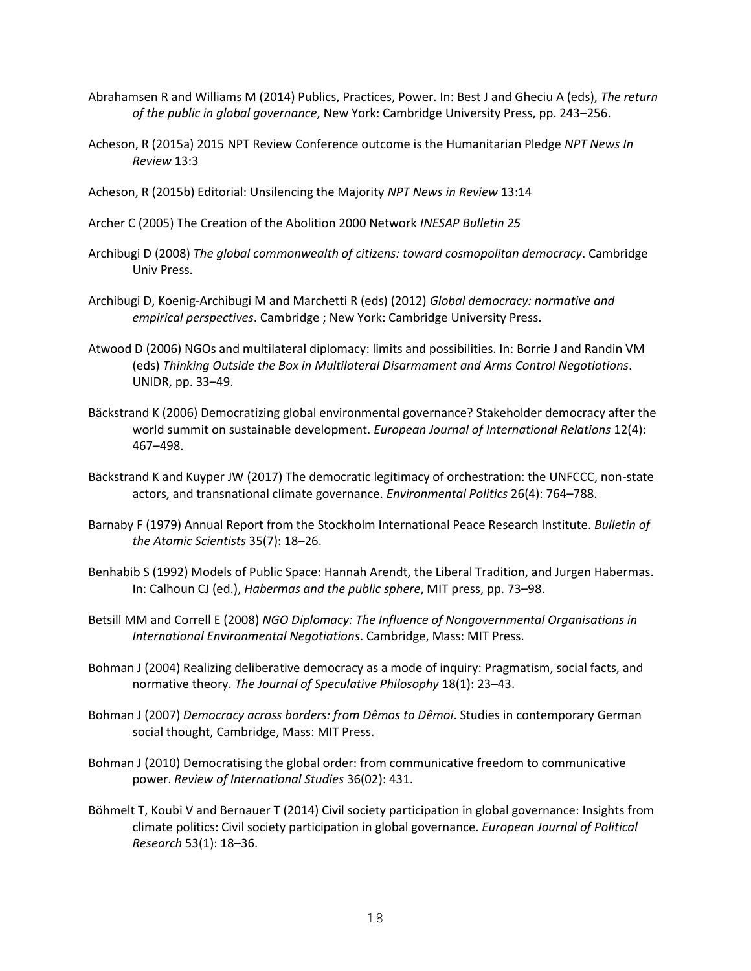- Abrahamsen R and Williams M (2014) Publics, Practices, Power. In: Best J and Gheciu A (eds), *The return of the public in global governance*, New York: Cambridge University Press, pp. 243–256.
- Acheson, R (2015a) 2015 NPT Review Conference outcome is the Humanitarian Pledge *NPT News In Review* 13:3
- Acheson, R (2015b) Editorial: Unsilencing the Majority *NPT News in Review* 13:14
- Archer C (2005) The Creation of the Abolition 2000 Network *INESAP Bulletin 25*
- Archibugi D (2008) *The global commonwealth of citizens: toward cosmopolitan democracy*. Cambridge Univ Press.
- Archibugi D, Koenig-Archibugi M and Marchetti R (eds) (2012) *Global democracy: normative and empirical perspectives*. Cambridge ; New York: Cambridge University Press.
- Atwood D (2006) NGOs and multilateral diplomacy: limits and possibilities. In: Borrie J and Randin VM (eds) *Thinking Outside the Box in Multilateral Disarmament and Arms Control Negotiations*. UNIDR, pp. 33–49.
- Bäckstrand K (2006) Democratizing global environmental governance? Stakeholder democracy after the world summit on sustainable development. *European Journal of International Relations* 12(4): 467–498.
- Bäckstrand K and Kuyper JW (2017) The democratic legitimacy of orchestration: the UNFCCC, non-state actors, and transnational climate governance. *Environmental Politics* 26(4): 764–788.
- Barnaby F (1979) Annual Report from the Stockholm International Peace Research Institute. *Bulletin of the Atomic Scientists* 35(7): 18–26.
- Benhabib S (1992) Models of Public Space: Hannah Arendt, the Liberal Tradition, and Jurgen Habermas. In: Calhoun CJ (ed.), *Habermas and the public sphere*, MIT press, pp. 73–98.
- Betsill MM and Correll E (2008) *NGO Diplomacy: The Influence of Nongovernmental Organisations in International Environmental Negotiations*. Cambridge, Mass: MIT Press.
- Bohman J (2004) Realizing deliberative democracy as a mode of inquiry: Pragmatism, social facts, and normative theory. *The Journal of Speculative Philosophy* 18(1): 23–43.
- Bohman J (2007) *Democracy across borders: from Dêmos to Dêmoi*. Studies in contemporary German social thought, Cambridge, Mass: MIT Press.
- Bohman J (2010) Democratising the global order: from communicative freedom to communicative power. *Review of International Studies* 36(02): 431.
- Böhmelt T, Koubi V and Bernauer T (2014) Civil society participation in global governance: Insights from climate politics: Civil society participation in global governance. *European Journal of Political Research* 53(1): 18–36.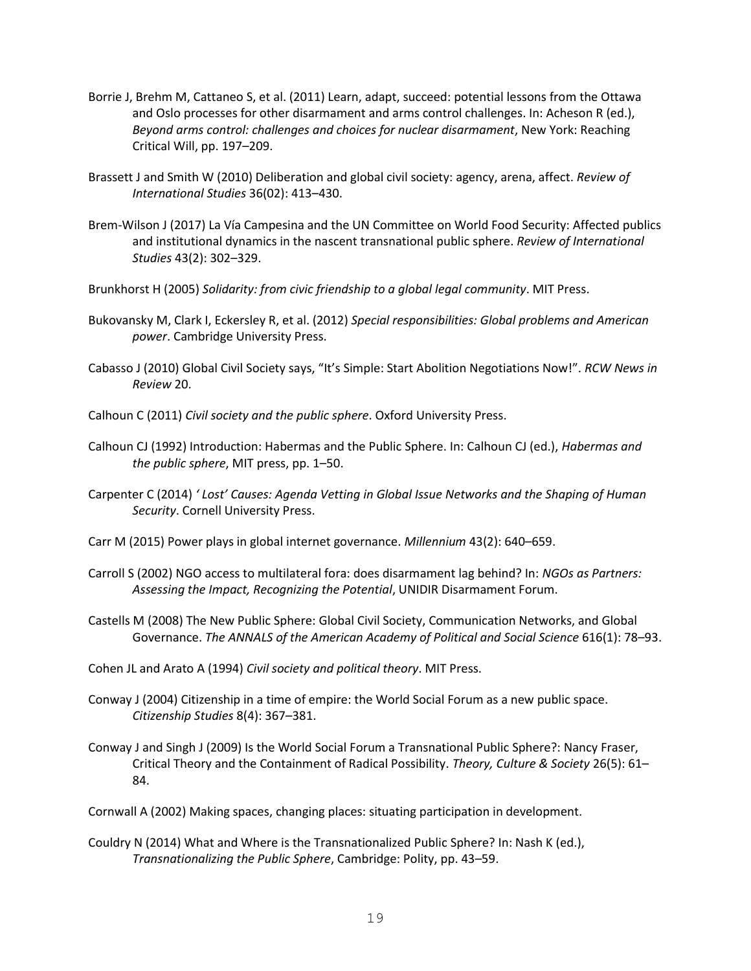- Borrie J, Brehm M, Cattaneo S, et al. (2011) Learn, adapt, succeed: potential lessons from the Ottawa and Oslo processes for other disarmament and arms control challenges. In: Acheson R (ed.), *Beyond arms control: challenges and choices for nuclear disarmament*, New York: Reaching Critical Will, pp. 197–209.
- Brassett J and Smith W (2010) Deliberation and global civil society: agency, arena, affect. *Review of International Studies* 36(02): 413–430.
- Brem-Wilson J (2017) La Vía Campesina and the UN Committee on World Food Security: Affected publics and institutional dynamics in the nascent transnational public sphere. *Review of International Studies* 43(2): 302–329.
- Brunkhorst H (2005) *Solidarity: from civic friendship to a global legal community*. MIT Press.
- Bukovansky M, Clark I, Eckersley R, et al. (2012) *Special responsibilities: Global problems and American power*. Cambridge University Press.
- Cabasso J (2010) Global Civil Society says, "It's Simple: Start Abolition Negotiations Now!". *RCW News in Review* 20.
- Calhoun C (2011) *Civil society and the public sphere*. Oxford University Press.
- Calhoun CJ (1992) Introduction: Habermas and the Public Sphere. In: Calhoun CJ (ed.), *Habermas and the public sphere*, MIT press, pp. 1–50.
- Carpenter C (2014) *' Lost' Causes: Agenda Vetting in Global Issue Networks and the Shaping of Human Security*. Cornell University Press.
- Carr M (2015) Power plays in global internet governance. *Millennium* 43(2): 640–659.
- Carroll S (2002) NGO access to multilateral fora: does disarmament lag behind? In: *NGOs as Partners: Assessing the Impact, Recognizing the Potential*, UNIDIR Disarmament Forum.
- Castells M (2008) The New Public Sphere: Global Civil Society, Communication Networks, and Global Governance. *The ANNALS of the American Academy of Political and Social Science* 616(1): 78–93.
- Cohen JL and Arato A (1994) *Civil society and political theory*. MIT Press.
- Conway J (2004) Citizenship in a time of empire: the World Social Forum as a new public space. *Citizenship Studies* 8(4): 367–381.
- Conway J and Singh J (2009) Is the World Social Forum a Transnational Public Sphere?: Nancy Fraser, Critical Theory and the Containment of Radical Possibility. *Theory, Culture & Society* 26(5): 61– 84.
- Cornwall A (2002) Making spaces, changing places: situating participation in development.
- Couldry N (2014) What and Where is the Transnationalized Public Sphere? In: Nash K (ed.), *Transnationalizing the Public Sphere*, Cambridge: Polity, pp. 43–59.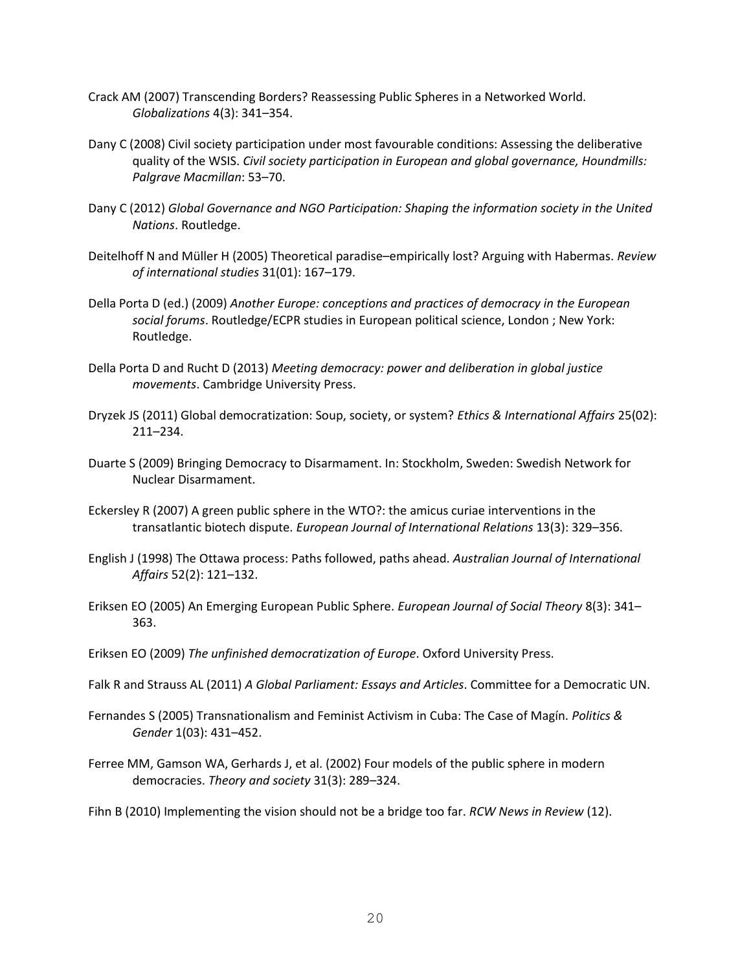- Crack AM (2007) Transcending Borders? Reassessing Public Spheres in a Networked World. *Globalizations* 4(3): 341–354.
- Dany C (2008) Civil society participation under most favourable conditions: Assessing the deliberative quality of the WSIS. *Civil society participation in European and global governance, Houndmills: Palgrave Macmillan*: 53–70.
- Dany C (2012) *Global Governance and NGO Participation: Shaping the information society in the United Nations*. Routledge.
- Deitelhoff N and Müller H (2005) Theoretical paradise–empirically lost? Arguing with Habermas. *Review of international studies* 31(01): 167–179.
- Della Porta D (ed.) (2009) *Another Europe: conceptions and practices of democracy in the European social forums*. Routledge/ECPR studies in European political science, London ; New York: Routledge.
- Della Porta D and Rucht D (2013) *Meeting democracy: power and deliberation in global justice movements*. Cambridge University Press.
- Dryzek JS (2011) Global democratization: Soup, society, or system? *Ethics & International Affairs* 25(02): 211–234.
- Duarte S (2009) Bringing Democracy to Disarmament. In: Stockholm, Sweden: Swedish Network for Nuclear Disarmament.
- Eckersley R (2007) A green public sphere in the WTO?: the amicus curiae interventions in the transatlantic biotech dispute. *European Journal of International Relations* 13(3): 329–356.
- English J (1998) The Ottawa process: Paths followed, paths ahead. *Australian Journal of International Affairs* 52(2): 121–132.
- Eriksen EO (2005) An Emerging European Public Sphere. *European Journal of Social Theory* 8(3): 341– 363.
- Eriksen EO (2009) *The unfinished democratization of Europe*. Oxford University Press.
- Falk R and Strauss AL (2011) *A Global Parliament: Essays and Articles*. Committee for a Democratic UN.
- Fernandes S (2005) Transnationalism and Feminist Activism in Cuba: The Case of Magín. *Politics & Gender* 1(03): 431–452.
- Ferree MM, Gamson WA, Gerhards J, et al. (2002) Four models of the public sphere in modern democracies. *Theory and society* 31(3): 289–324.

Fihn B (2010) Implementing the vision should not be a bridge too far. *RCW News in Review* (12).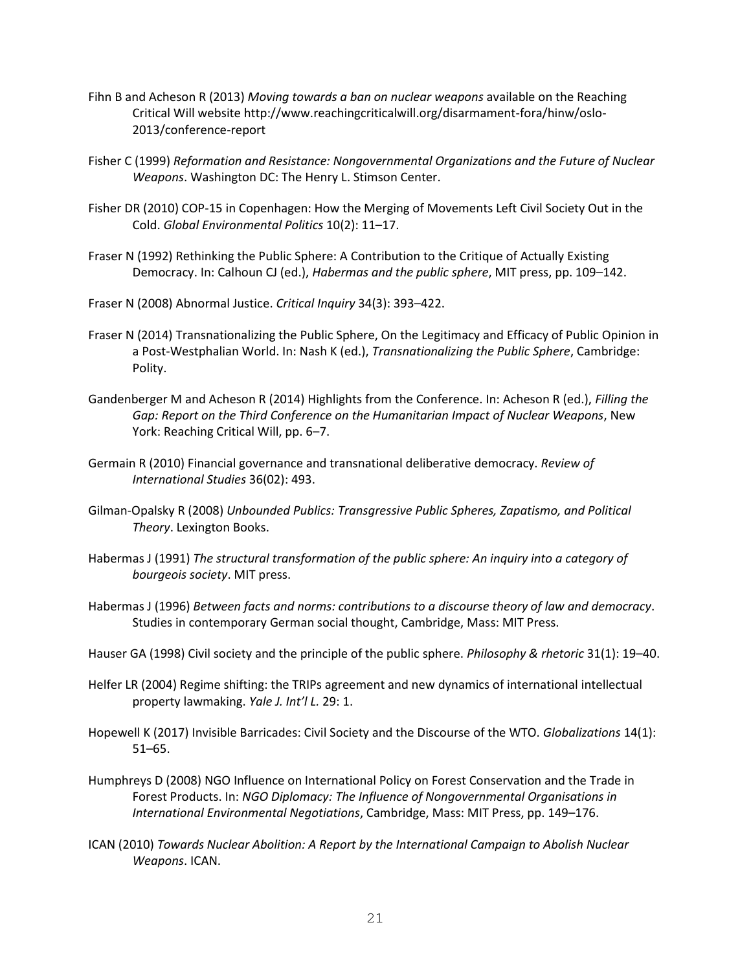- Fihn B and Acheson R (2013) *Moving towards a ban on nuclear weapons* available on the Reaching Critical Will website http://www.reachingcriticalwill.org/disarmament-fora/hinw/oslo-2013/conference-report
- Fisher C (1999) *Reformation and Resistance: Nongovernmental Organizations and the Future of Nuclear Weapons*. Washington DC: The Henry L. Stimson Center.
- Fisher DR (2010) COP-15 in Copenhagen: How the Merging of Movements Left Civil Society Out in the Cold. *Global Environmental Politics* 10(2): 11–17.
- Fraser N (1992) Rethinking the Public Sphere: A Contribution to the Critique of Actually Existing Democracy. In: Calhoun CJ (ed.), *Habermas and the public sphere*, MIT press, pp. 109–142.
- Fraser N (2008) Abnormal Justice. *Critical Inquiry* 34(3): 393–422.
- Fraser N (2014) Transnationalizing the Public Sphere, On the Legitimacy and Efficacy of Public Opinion in a Post-Westphalian World. In: Nash K (ed.), *Transnationalizing the Public Sphere*, Cambridge: Polity.
- Gandenberger M and Acheson R (2014) Highlights from the Conference. In: Acheson R (ed.), *Filling the Gap: Report on the Third Conference on the Humanitarian Impact of Nuclear Weapons*, New York: Reaching Critical Will, pp. 6–7.
- Germain R (2010) Financial governance and transnational deliberative democracy. *Review of International Studies* 36(02): 493.
- Gilman-Opalsky R (2008) *Unbounded Publics: Transgressive Public Spheres, Zapatismo, and Political Theory*. Lexington Books.
- Habermas J (1991) *The structural transformation of the public sphere: An inquiry into a category of bourgeois society*. MIT press.
- Habermas J (1996) *Between facts and norms: contributions to a discourse theory of law and democracy*. Studies in contemporary German social thought, Cambridge, Mass: MIT Press.
- Hauser GA (1998) Civil society and the principle of the public sphere. *Philosophy & rhetoric* 31(1): 19–40.
- Helfer LR (2004) Regime shifting: the TRIPs agreement and new dynamics of international intellectual property lawmaking. *Yale J. Int'l L.* 29: 1.
- Hopewell K (2017) Invisible Barricades: Civil Society and the Discourse of the WTO. *Globalizations* 14(1): 51–65.
- Humphreys D (2008) NGO Influence on International Policy on Forest Conservation and the Trade in Forest Products. In: *NGO Diplomacy: The Influence of Nongovernmental Organisations in International Environmental Negotiations*, Cambridge, Mass: MIT Press, pp. 149–176.
- ICAN (2010) *Towards Nuclear Abolition: A Report by the International Campaign to Abolish Nuclear Weapons*. ICAN.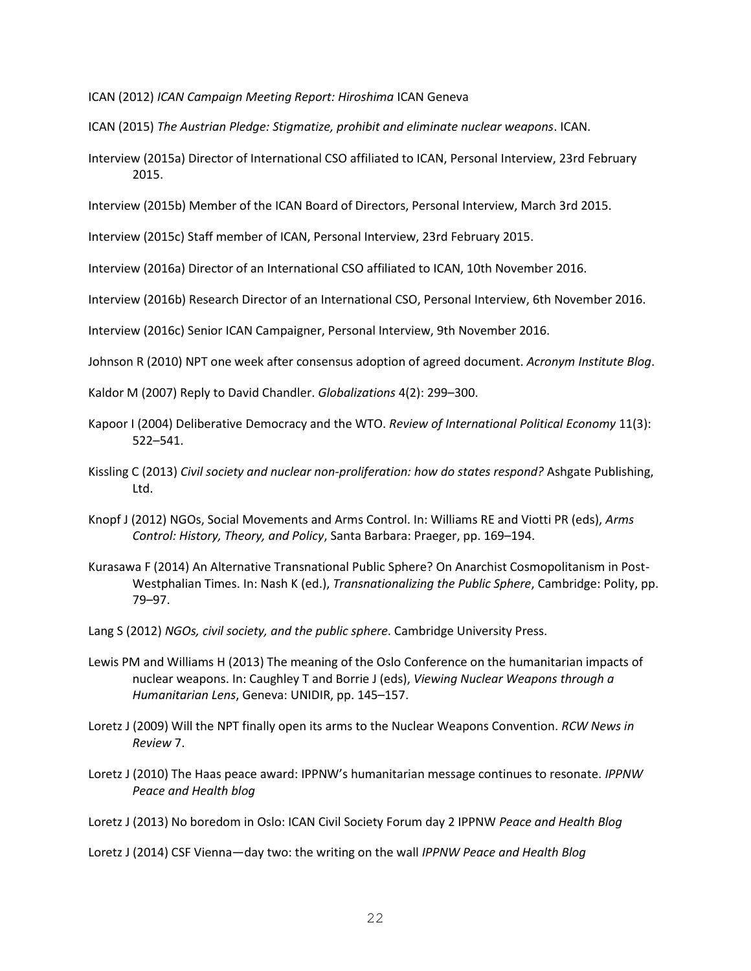ICAN (2012) *ICAN Campaign Meeting Report: Hiroshima* ICAN Geneva

- ICAN (2015) *The Austrian Pledge: Stigmatize, prohibit and eliminate nuclear weapons*. ICAN.
- Interview (2015a) Director of International CSO affiliated to ICAN, Personal Interview, 23rd February 2015.

Interview (2015b) Member of the ICAN Board of Directors, Personal Interview, March 3rd 2015.

Interview (2015c) Staff member of ICAN, Personal Interview, 23rd February 2015.

Interview (2016a) Director of an International CSO affiliated to ICAN, 10th November 2016.

Interview (2016b) Research Director of an International CSO, Personal Interview, 6th November 2016.

Interview (2016c) Senior ICAN Campaigner, Personal Interview, 9th November 2016.

Johnson R (2010) NPT one week after consensus adoption of agreed document. *Acronym Institute Blog*.

Kaldor M (2007) Reply to David Chandler. *Globalizations* 4(2): 299–300.

- Kapoor I (2004) Deliberative Democracy and the WTO. *Review of International Political Economy* 11(3): 522–541.
- Kissling C (2013) *Civil society and nuclear non-proliferation: how do states respond?* Ashgate Publishing, Ltd.
- Knopf J (2012) NGOs, Social Movements and Arms Control. In: Williams RE and Viotti PR (eds), *Arms Control: History, Theory, and Policy*, Santa Barbara: Praeger, pp. 169–194.
- Kurasawa F (2014) An Alternative Transnational Public Sphere? On Anarchist Cosmopolitanism in Post-Westphalian Times. In: Nash K (ed.), *Transnationalizing the Public Sphere*, Cambridge: Polity, pp. 79–97.
- Lang S (2012) *NGOs, civil society, and the public sphere*. Cambridge University Press.
- Lewis PM and Williams H (2013) The meaning of the Oslo Conference on the humanitarian impacts of nuclear weapons. In: Caughley T and Borrie J (eds), *Viewing Nuclear Weapons through a Humanitarian Lens*, Geneva: UNIDIR, pp. 145–157.
- Loretz J (2009) Will the NPT finally open its arms to the Nuclear Weapons Convention. *RCW News in Review* 7.
- Loretz J (2010) The Haas peace award: IPPNW's humanitarian message continues to resonate. *IPPNW Peace and Health blog*
- Loretz J (2013) No boredom in Oslo: ICAN Civil Society Forum day 2 IPPNW *Peace and Health Blog*
- Loretz J (2014) CSF Vienna—day two: the writing on the wall *IPPNW Peace and Health Blog*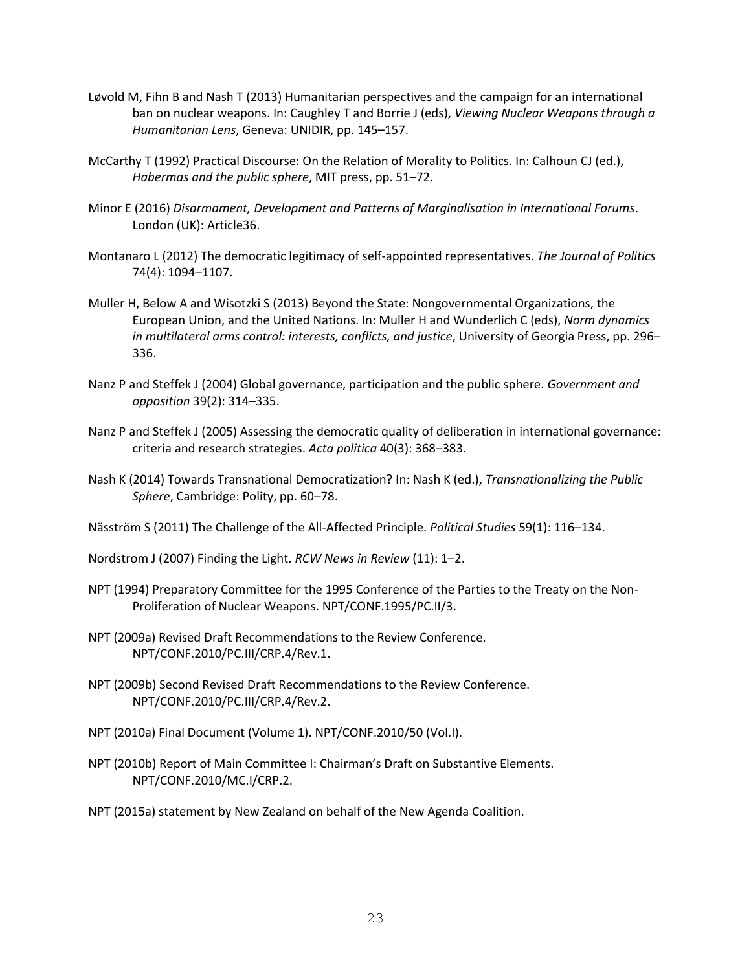- Løvold M, Fihn B and Nash T (2013) Humanitarian perspectives and the campaign for an international ban on nuclear weapons. In: Caughley T and Borrie J (eds), *Viewing Nuclear Weapons through a Humanitarian Lens*, Geneva: UNIDIR, pp. 145–157.
- McCarthy T (1992) Practical Discourse: On the Relation of Morality to Politics. In: Calhoun CJ (ed.), *Habermas and the public sphere*, MIT press, pp. 51–72.
- Minor E (2016) *Disarmament, Development and Patterns of Marginalisation in International Forums*. London (UK): Article36.
- Montanaro L (2012) The democratic legitimacy of self-appointed representatives. *The Journal of Politics* 74(4): 1094–1107.
- Muller H, Below A and Wisotzki S (2013) Beyond the State: Nongovernmental Organizations, the European Union, and the United Nations. In: Muller H and Wunderlich C (eds), *Norm dynamics in multilateral arms control: interests, conflicts, and justice*, University of Georgia Press, pp. 296– 336.
- Nanz P and Steffek J (2004) Global governance, participation and the public sphere. *Government and opposition* 39(2): 314–335.
- Nanz P and Steffek J (2005) Assessing the democratic quality of deliberation in international governance: criteria and research strategies. *Acta politica* 40(3): 368–383.
- Nash K (2014) Towards Transnational Democratization? In: Nash K (ed.), *Transnationalizing the Public Sphere*, Cambridge: Polity, pp. 60–78.
- Näsström S (2011) The Challenge of the All-Affected Principle. *Political Studies* 59(1): 116–134.

Nordstrom J (2007) Finding the Light. *RCW News in Review* (11): 1–2.

- NPT (1994) Preparatory Committee for the 1995 Conference of the Parties to the Treaty on the Non-Proliferation of Nuclear Weapons. NPT/CONF.1995/PC.II/3.
- NPT (2009a) Revised Draft Recommendations to the Review Conference. NPT/CONF.2010/PC.III/CRP.4/Rev.1.
- NPT (2009b) Second Revised Draft Recommendations to the Review Conference. NPT/CONF.2010/PC.III/CRP.4/Rev.2.
- NPT (2010a) Final Document (Volume 1). NPT/CONF.2010/50 (Vol.I).
- NPT (2010b) Report of Main Committee I: Chairman's Draft on Substantive Elements. NPT/CONF.2010/MC.I/CRP.2.
- NPT (2015a) statement by New Zealand on behalf of the New Agenda Coalition.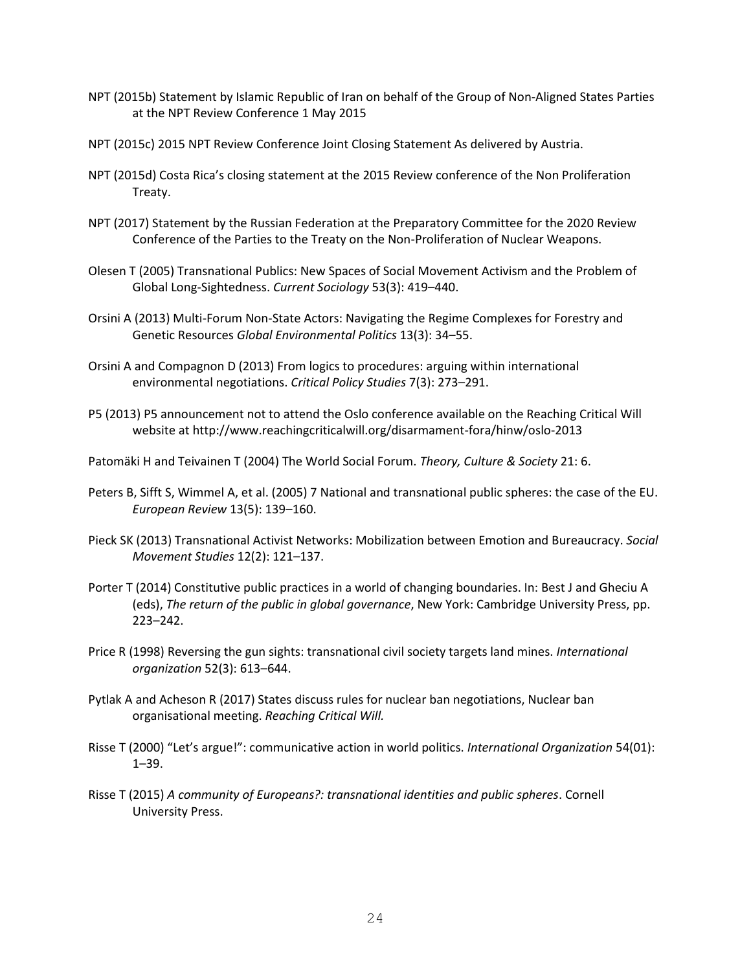- NPT (2015b) Statement by Islamic Republic of Iran on behalf of the Group of Non-Aligned States Parties at the NPT Review Conference 1 May 2015
- NPT (2015c) 2015 NPT Review Conference Joint Closing Statement As delivered by Austria.
- NPT (2015d) Costa Rica's closing statement at the 2015 Review conference of the Non Proliferation Treaty.
- NPT (2017) Statement by the Russian Federation at the Preparatory Committee for the 2020 Review Conference of the Parties to the Treaty on the Non-Proliferation of Nuclear Weapons.
- Olesen T (2005) Transnational Publics: New Spaces of Social Movement Activism and the Problem of Global Long-Sightedness. *Current Sociology* 53(3): 419–440.
- Orsini A (2013) Multi-Forum Non-State Actors: Navigating the Regime Complexes for Forestry and Genetic Resources *Global Environmental Politics* 13(3): 34–55.
- Orsini A and Compagnon D (2013) From logics to procedures: arguing within international environmental negotiations. *Critical Policy Studies* 7(3): 273–291.
- P5 (2013) P5 announcement not to attend the Oslo conference available on the Reaching Critical Will website at http://www.reachingcriticalwill.org/disarmament-fora/hinw/oslo-2013
- Patomäki H and Teivainen T (2004) The World Social Forum. *Theory, Culture & Society* 21: 6.
- Peters B, Sifft S, Wimmel A, et al. (2005) 7 National and transnational public spheres: the case of the EU. *European Review* 13(5): 139–160.
- Pieck SK (2013) Transnational Activist Networks: Mobilization between Emotion and Bureaucracy. *Social Movement Studies* 12(2): 121–137.
- Porter T (2014) Constitutive public practices in a world of changing boundaries. In: Best J and Gheciu A (eds), *The return of the public in global governance*, New York: Cambridge University Press, pp. 223–242.
- Price R (1998) Reversing the gun sights: transnational civil society targets land mines. *International organization* 52(3): 613–644.
- Pytlak A and Acheson R (2017) States discuss rules for nuclear ban negotiations, Nuclear ban organisational meeting. *Reaching Critical Will.*
- Risse T (2000) "Let's argue!": communicative action in world politics. *International Organization* 54(01): 1–39.
- Risse T (2015) *A community of Europeans?: transnational identities and public spheres*. Cornell University Press.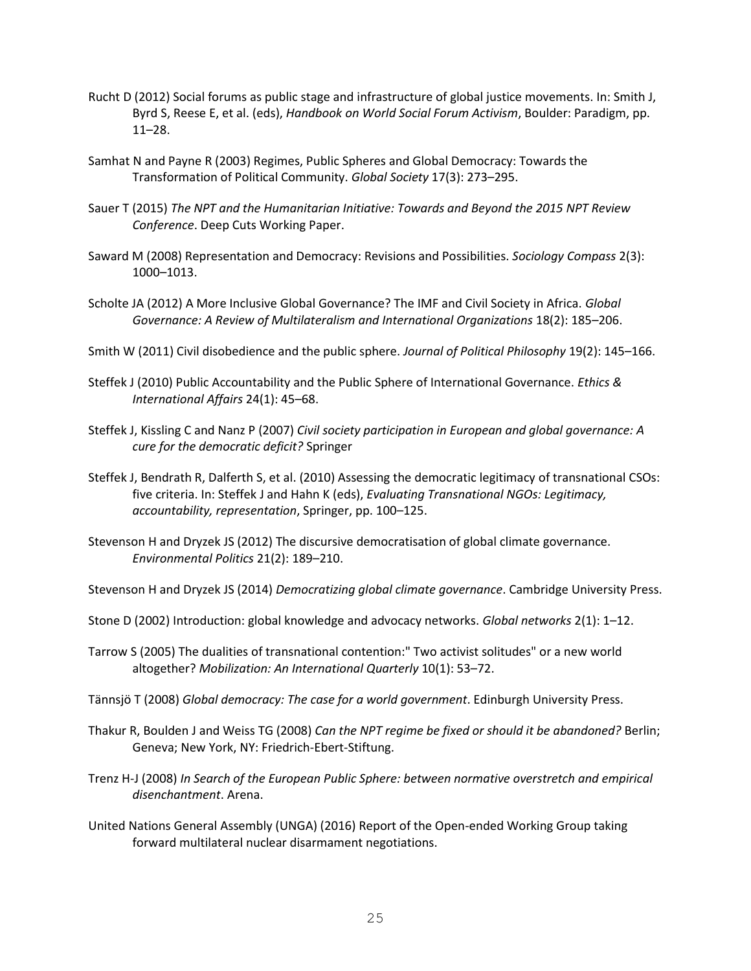- Rucht D (2012) Social forums as public stage and infrastructure of global justice movements. In: Smith J, Byrd S, Reese E, et al. (eds), *Handbook on World Social Forum Activism*, Boulder: Paradigm, pp. 11–28.
- Samhat N and Payne R (2003) Regimes, Public Spheres and Global Democracy: Towards the Transformation of Political Community. *Global Society* 17(3): 273–295.
- Sauer T (2015) *The NPT and the Humanitarian Initiative: Towards and Beyond the 2015 NPT Review Conference*. Deep Cuts Working Paper.
- Saward M (2008) Representation and Democracy: Revisions and Possibilities. *Sociology Compass* 2(3): 1000–1013.
- Scholte JA (2012) A More Inclusive Global Governance? The IMF and Civil Society in Africa. *Global Governance: A Review of Multilateralism and International Organizations* 18(2): 185–206.
- Smith W (2011) Civil disobedience and the public sphere. *Journal of Political Philosophy* 19(2): 145–166.
- Steffek J (2010) Public Accountability and the Public Sphere of International Governance. *Ethics & International Affairs* 24(1): 45–68.
- Steffek J, Kissling C and Nanz P (2007) *Civil society participation in European and global governance: A cure for the democratic deficit?* Springer
- Steffek J, Bendrath R, Dalferth S, et al. (2010) Assessing the democratic legitimacy of transnational CSOs: five criteria. In: Steffek J and Hahn K (eds), *Evaluating Transnational NGOs: Legitimacy, accountability, representation*, Springer, pp. 100–125.
- Stevenson H and Dryzek JS (2012) The discursive democratisation of global climate governance. *Environmental Politics* 21(2): 189–210.

Stevenson H and Dryzek JS (2014) *Democratizing global climate governance*. Cambridge University Press.

- Stone D (2002) Introduction: global knowledge and advocacy networks. *Global networks* 2(1): 1–12.
- Tarrow S (2005) The dualities of transnational contention:" Two activist solitudes" or a new world altogether? *Mobilization: An International Quarterly* 10(1): 53–72.
- Tännsjö T (2008) *Global democracy: The case for a world government*. Edinburgh University Press.
- Thakur R, Boulden J and Weiss TG (2008) *Can the NPT regime be fixed or should it be abandoned?* Berlin; Geneva; New York, NY: Friedrich-Ebert-Stiftung.
- Trenz H-J (2008) *In Search of the European Public Sphere: between normative overstretch and empirical disenchantment*. Arena.
- United Nations General Assembly (UNGA) (2016) Report of the Open-ended Working Group taking forward multilateral nuclear disarmament negotiations.